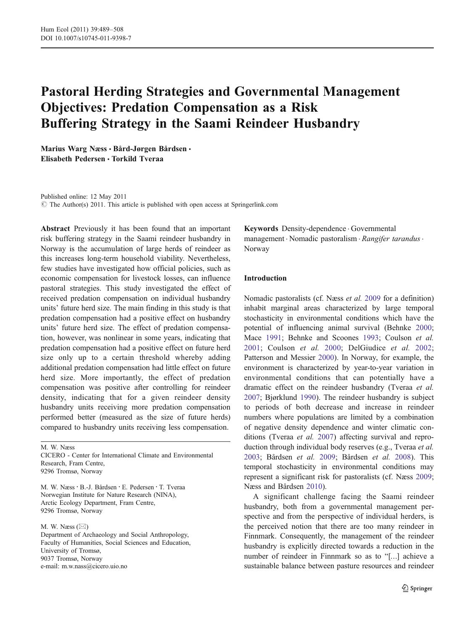# Pastoral Herding Strategies and Governmental Management Objectives: Predation Compensation as a Risk Buffering Strategy in the Saami Reindeer Husbandry

Marius Warg Næss · Bård-Jørgen Bårdsen · Elisabeth Pedersen & Torkild Tveraa

Published online: 12 May 2011 © The Author(s) 2011. This article is published with open access at Springerlink.com

Abstract Previously it has been found that an important risk buffering strategy in the Saami reindeer husbandry in Norway is the accumulation of large herds of reindeer as this increases long-term household viability. Nevertheless, few studies have investigated how official policies, such as economic compensation for livestock losses, can influence pastoral strategies. This study investigated the effect of received predation compensation on individual husbandry units' future herd size. The main finding in this study is that predation compensation had a positive effect on husbandry units' future herd size. The effect of predation compensation, however, was nonlinear in some years, indicating that predation compensation had a positive effect on future herd size only up to a certain threshold whereby adding additional predation compensation had little effect on future herd size. More importantly, the effect of predation compensation was positive after controlling for reindeer density, indicating that for a given reindeer density husbandry units receiving more predation compensation performed better (measured as the size of future herds) compared to husbandry units receiving less compensation.

M. W. Næss

CICERO - Center for International Climate and Environmental Research, Fram Centre, 9296 Tromsø, Norway

M. W. Næss: B.-J. Bårdsen : E. Pedersen : T. Tveraa Norwegian Institute for Nature Research (NINA), Arctic Ecology Department, Fram Centre, 9296 Tromsø, Norway

M. W. Næss  $(\boxtimes)$ 

Department of Archaeology and Social Anthropology, Faculty of Humanities, Social Sciences and Education, University of Tromsø, 9037 Tromsø, Norway e-mail: m.w.nass@cicero.uio.no

Keywords Density-dependence . Governmental management . Nomadic pastoralism . Rangifer tarandus. Norway

# Introduction

Nomadic pastoralists (cf. Næss et al. [2009](#page-19-0) for a definition) inhabit marginal areas characterized by large temporal stochasticity in environmental conditions which have the potential of influencing animal survival (Behnke [2000;](#page-18-0) Mace [1991](#page-19-0); Behnke and Scoones [1993](#page-18-0); Coulson et al. [2001;](#page-18-0) Coulson et al. [2000;](#page-18-0) DelGiudice et al. [2002;](#page-18-0) Patterson and Messier [2000](#page-19-0)). In Norway, for example, the environment is characterized by year-to-year variation in environmental conditions that can potentially have a dramatic effect on the reindeer husbandry (Tveraa et al. [2007](#page-19-0); Bjørklund [1990](#page-18-0)). The reindeer husbandry is subject to periods of both decrease and increase in reindeer numbers where populations are limited by a combination of negative density dependence and winter climatic conditions (Tveraa et al. [2007](#page-19-0)) affecting survival and reproduction through individual body reserves (e.g., Tveraa et al. [2003](#page-19-0); Bårdsen et al. [2009;](#page-18-0) Bårdsen et al. [2008](#page-18-0)). This temporal stochasticity in environmental conditions may represent a significant risk for pastoralists (cf. Næss [2009;](#page-19-0) Næss and Bårdsen [2010](#page-19-0)).

A significant challenge facing the Saami reindeer husbandry, both from a governmental management perspective and from the perspective of individual herders, is the perceived notion that there are too many reindeer in Finnmark. Consequently, the management of the reindeer husbandry is explicitly directed towards a reduction in the number of reindeer in Finnmark so as to "[…] achieve a sustainable balance between pasture resources and reindeer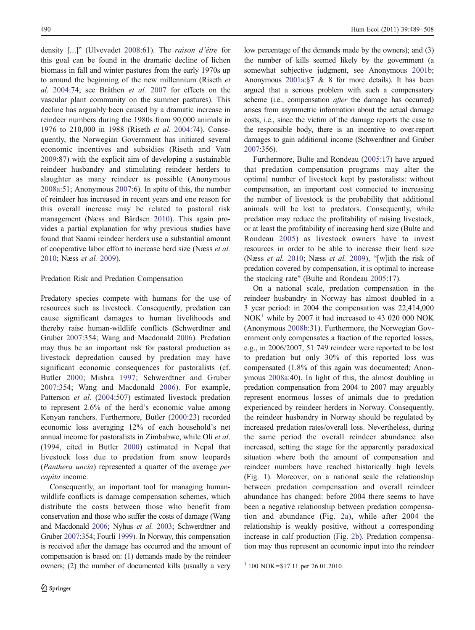density […]" (Ulvevadet [2008:](#page-19-0)61). The raison d'être for this goal can be found in the dramatic decline of lichen biomass in fall and winter pastures from the early 1970s up to around the beginning of the new millennium (Riseth et al. [2004](#page-19-0):74; see Bråthen et al. [2007](#page-18-0) for effects on the vascular plant community on the summer pastures). This decline has arguably been caused by a dramatic increase in reindeer numbers during the 1980s from 90,000 animals in 1976 to 210,000 in 1988 (Riseth et al. [2004](#page-19-0):74). Consequently, the Norwegian Government has initiated several economic incentives and subsidies (Riseth and Vatn [2009:](#page-19-0)87) with the explicit aim of developing a sustainable reindeer husbandry and stimulating reindeer herders to slaughter as many reindeer as possible (Anonymous [2008a](#page-18-0):51; Anonymous [2007:](#page-18-0)6). In spite of this, the number of reindeer has increased in recent years and one reason for this overall increase may be related to pastoral risk management (Næss and Bårdsen [2010\)](#page-19-0). This again provides a partial explanation for why previous studies have found that Saami reindeer herders use a substantial amount of cooperative labor effort to increase herd size (Næss et al. [2010;](#page-19-0) Næss et al. [2009\)](#page-19-0).

# Predation Risk and Predation Compensation

Predatory species compete with humans for the use of resources such as livestock. Consequently, predation can cause significant damages to human livelihoods and thereby raise human-wildlife conflicts (Schwerdtner and Gruber [2007](#page-19-0):354; Wang and Macdonald [2006\)](#page-19-0). Predation may thus be an important risk for pastoral production as livestock depredation caused by predation may have significant economic consequences for pastoralists (cf. Butler [2000](#page-18-0); Mishra [1997](#page-19-0); Schwerdtner and Gruber [2007](#page-19-0):354; Wang and Macdonald [2006](#page-19-0)). For example, Patterson et al. ([2004:](#page-19-0)507) estimated livestock predation to represent 2.6% of the herd's economic value among Kenyan ranchers. Furthermore, Butler [\(2000](#page-18-0):23) recorded economic loss averaging 12% of each household's net annual income for pastoralists in Zimbabwe, while Oli et al. (1994, cited in Butler [2000](#page-18-0)) estimated in Nepal that livestock loss due to predation from snow leopards (Panthera uncia) represented a quarter of the average per capita income.

Consequently, an important tool for managing humanwildlife conflicts is damage compensation schemes, which distribute the costs between those who benefit from conservation and those who suffer the costs of damage (Wang and Macdonald [2006;](#page-19-0) Nyhus et al. [2003;](#page-19-0) Schwerdtner and Gruber [2007:](#page-19-0)354; Fourli [1999\)](#page-18-0). In Norway, this compensation is received after the damage has occurred and the amount of compensation is based on: (1) demands made by the reindeer owners; (2) the number of documented kills (usually a very

low percentage of the demands made by the owners); and (3) the number of kills seemed likely by the government (a somewhat subjective judgment, see Anonymous [2001b;](#page-17-0) Anonymous [2001a:](#page-17-0)§7 & 8 for more details). It has been argued that a serious problem with such a compensatory scheme (i.e., compensation *after* the damage has occurred) arises from asymmetric information about the actual damage costs, i.e., since the victim of the damage reports the case to the responsible body, there is an incentive to over-report damages to gain additional income (Schwerdtner and Gruber [2007](#page-19-0):356).

Furthermore, Bulte and Rondeau [\(2005](#page-18-0):17) have argued that predation compensation programs may alter the optimal number of livestock kept by pastoralists: without compensation, an important cost connected to increasing the number of livestock is the probability that additional animals will be lost to predators. Consequently, while predation may reduce the profitability of raising livestock, or at least the profitability of increasing herd size (Bulte and Rondeau [2005](#page-18-0)) as livestock owners have to invest resources in order to be able to increase their herd size (Næss et al. [2010;](#page-19-0) Næss et al. [2009\)](#page-19-0), "[w]ith the risk of predation covered by compensation, it is optimal to increase the stocking rate" (Bulte and Rondeau [2005:](#page-18-0)17).

On a national scale, predation compensation in the reindeer husbandry in Norway has almost doubled in a 3 year period: in 2004 the compensation was 22,414,000  $NOK<sup>1</sup>$  while by 2007 it had increased to 43 020 000 NOK (Anonymous [2008b:](#page-18-0)31). Furthermore, the Norwegian Government only compensates a fraction of the reported losses, e.g., in 2006/2007, 51 749 reindeer were reported to be lost to predation but only 30% of this reported loss was compensated (1.8% of this again was documented; Anonymous [2008a](#page-18-0):40). In light of this, the almost doubling in predation compensation from 2004 to 2007 may arguably represent enormous losses of animals due to predation experienced by reindeer herders in Norway. Consequently, the reindeer husbandry in Norway should be regulated by increased predation rates/overall loss. Nevertheless, during the same period the overall reindeer abundance also increased, setting the stage for the apparently paradoxical situation where both the amount of compensation and reindeer numbers have reached historically high levels (Fig. [1](#page-2-0)). Moreover, on a national scale the relationship between predation compensation and overall reindeer abundance has changed: before 2004 there seems to have been a negative relationship between predation compensation and abundance (Fig. [2a](#page-3-0)), while after 2004 the relationship is weakly positive, without a corresponding increase in calf production (Fig. [2b\)](#page-3-0). Predation compensation may thus represent an economic input into the reindeer

 $1\overline{100}$  NOK=\$17.11 per 26.01.2010.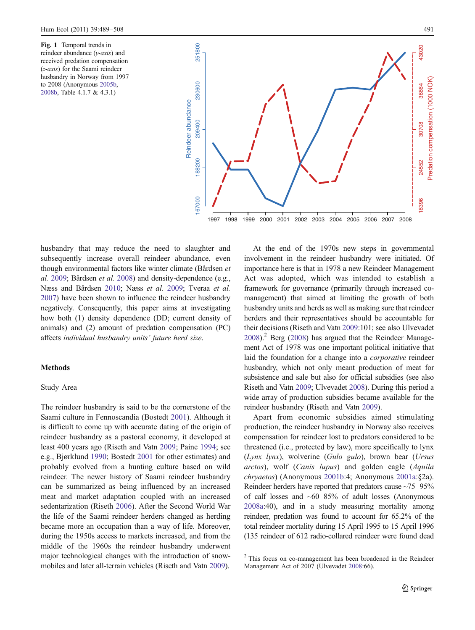<span id="page-2-0"></span>Fig. 1 Temporal trends in reindeer abundance (y-axis) and received predation compensation (z-axis) for the Saami reindeer husbandry in Norway from 1997 to 2008 (Anonymous [2005b,](#page-18-0) [2008b,](#page-18-0) Table 4.1.7 & 4.3.1)



husbandry that may reduce the need to slaughter and subsequently increase overall reindeer abundance, even though environmental factors like winter climate (Bårdsen et al. [2009;](#page-18-0) Bårdsen et al. [2008](#page-18-0)) and density-dependence (e.g., Næss and Bårdsen [2010](#page-19-0); Næss et al. [2009](#page-19-0); Tveraa et al. [2007\)](#page-19-0) have been shown to influence the reindeer husbandry negatively. Consequently, this paper aims at investigating how both (1) density dependence (DD; current density of animals) and (2) amount of predation compensation (PC) affects individual husbandry units' future herd size.

#### Methods

#### Study Area

The reindeer husbandry is said to be the cornerstone of the Saami culture in Fennoscandia (Bostedt [2001](#page-18-0)). Although it is difficult to come up with accurate dating of the origin of reindeer husbandry as a pastoral economy, it developed at least 400 years ago (Riseth and Vatn [2009;](#page-19-0) Paine [1994;](#page-19-0) see e.g., Bjørklund [1990;](#page-18-0) Bostedt [2001](#page-18-0) for other estimates) and probably evolved from a hunting culture based on wild reindeer. The newer history of Saami reindeer husbandry can be summarized as being influenced by an increased meat and market adaptation coupled with an increased sedentarization (Riseth [2006](#page-19-0)). After the Second World War the life of the Saami reindeer herders changed as herding became more an occupation than a way of life. Moreover, during the 1950s access to markets increased, and from the middle of the 1960s the reindeer husbandry underwent major technological changes with the introduction of snowmobiles and later all-terrain vehicles (Riseth and Vatn [2009](#page-19-0)).

At the end of the 1970s new steps in governmental involvement in the reindeer husbandry were initiated. Of importance here is that in 1978 a new Reindeer Management Act was adopted, which was intended to establish a framework for governance (primarily through increased comanagement) that aimed at limiting the growth of both husbandry units and herds as well as making sure that reindeer herders and their representatives should be accountable for their decisions (Riseth and Vatn [2009:](#page-19-0)101; see also Ulvevadet [2008\)](#page-19-0).2 Berg [\(2008\)](#page-18-0) has argued that the Reindeer Management Act of 1978 was one important political initiative that laid the foundation for a change into a corporative reindeer husbandry, which not only meant production of meat for subsistence and sale but also for official subsidies (see also Riseth and Vatn [2009](#page-19-0); Ulvevadet [2008\)](#page-19-0). During this period a wide array of production subsidies became available for the reindeer husbandry (Riseth and Vatn [2009\)](#page-19-0).

Apart from economic subsidies aimed stimulating production, the reindeer husbandry in Norway also receives compensation for reindeer lost to predators considered to be threatened (i.e., protected by law), more specifically to lynx (Lynx lynx), wolverine (Gulo gulo), brown bear (Ursus arctos), wolf (Canis lupus) and golden eagle (Aquila chryaetos) (Anonymous [2001b](#page-17-0):4; Anonymous [2001a](#page-17-0):§2a). Reindeer herders have reported that predators cause ~75–95% of calf losses and  $~60-85\%$  of adult losses (Anonymous [2008a](#page-18-0):40), and in a study measuring mortality among reindeer, predation was found to account for 65.2% of the total reindeer mortality during 15 April 1995 to 15 April 1996 (135 reindeer of 612 radio-collared reindeer were found dead

<sup>&</sup>lt;sup>2</sup> This focus on co-management has been broadened in the Reindeer Management Act of 2007 (Ulvevadet [2008](#page-19-0):66).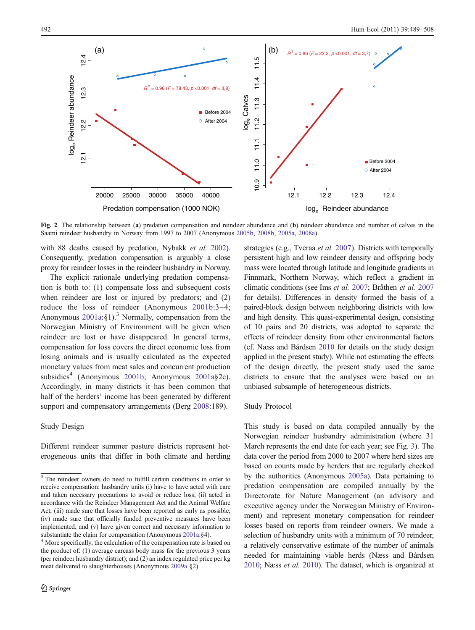<span id="page-3-0"></span>

Fig. 2 The relationship between (a) predation compensation and reindeer abundance and (b) reindeer abundance and number of calves in the Saami reindeer husbandry in Norway from 1997 to 2007 (Anonymous [2005b,](#page-18-0) [2008b,](#page-18-0) [2005a](#page-18-0), [2008a\)](#page-18-0)

with 88 deaths caused by predation, Nybakk et al. [2002\)](#page-19-0). Consequently, predation compensation is arguably a close proxy for reindeer losses in the reindeer husbandry in Norway.

The explicit rationale underlying predation compensation is both to: (1) compensate loss and subsequent costs when reindeer are lost or injured by predators; and (2) reduce the loss of reindeer (Anonymous [2001b](#page-17-0):3–4; Anonymous  $2001a$ :§1).<sup>3</sup> Normally, compensation from the Norwegian Ministry of Environment will be given when reindeer are lost or have disappeared. In general terms, compensation for loss covers the direct economic loss from losing animals and is usually calculated as the expected monetary values from meat sales and concurrent production subsidies<sup>4</sup> (Anonymous [2001b;](#page-17-0) Anonymous [2001a](#page-17-0)§2c). Accordingly, in many districts it has been common that half of the herders' income has been generated by different support and compensatory arrangements (Berg [2008:](#page-18-0)189).

# Study Design

Different reindeer summer pasture districts represent heterogeneous units that differ in both climate and herding strategies (e.g., Tveraa et al. [2007\)](#page-19-0). Districts with temporally persistent high and low reindeer density and offspring body mass were located through latitude and longitude gradients in Finnmark, Northern Norway, which reflect a gradient in climatic conditions (see Ims et al. [2007](#page-18-0); Bråthen et al. [2007](#page-18-0) for details). Differences in density formed the basis of a paired-block design between neighboring districts with low and high density. This quasi-experimental design, consisting of 10 pairs and 20 districts, was adopted to separate the effects of reindeer density from other environmental factors (cf. Næss and Bårdsen [2010](#page-19-0) for details on the study design applied in the present study). While not estimating the effects of the design directly, the present study used the same districts to ensure that the analyses were based on an unbiased subsample of heterogeneous districts.

#### Study Protocol

This study is based on data compiled annually by the Norwegian reindeer husbandry administration (where 31 March represents the end date for each year; see Fig. [3](#page-4-0)). The data cover the period from 2000 to 2007 where herd sizes are based on counts made by herders that are regularly checked by the authorities (Anonymous [2005a\)](#page-18-0). Data pertaining to predation compensation are compiled annually by the Directorate for Nature Management (an advisory and executive agency under the Norwegian Ministry of Environment) and represent monetary compensation for reindeer losses based on reports from reindeer owners. We made a selection of husbandry units with a minimum of 70 reindeer, a relatively conservative estimate of the number of animals needed for maintaining viable herds (Næss and Bårdsen [2010;](#page-19-0) Næss et al. [2010](#page-19-0)). The dataset, which is organized at

<sup>&</sup>lt;sup>3</sup> The reindeer owners do need to fulfill certain conditions in order to receive compensation: husbandry units (i) have to have acted with care and taken necessary precautions to avoid or reduce loss; (ii) acted in accordance with the Reindeer Management Act and the Animal Welfare Act; (iii) made sure that losses have been reported as early as possible; (iv) made sure that officially funded preventive measures have been implemented; and (v) have given correct and necessary information to substantiate the claim for compensation (Anonymous [2001a:](#page-17-0)§4).<br><sup>4</sup> More specifically, the calculation of the compensation rate is based on

the product of: (1) average carcass body mass for the previous 3 years (per reindeer husbandry district); and (2) an index regulated price per kg meat delivered to slaughterhouses (Anonymous [2009a](#page-18-0) §2).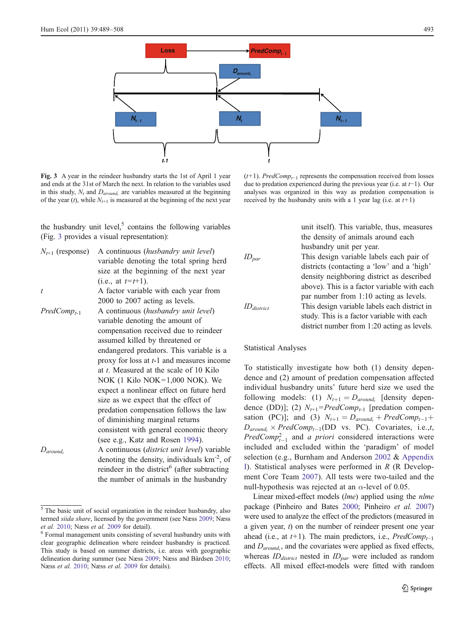<span id="page-4-0"></span>

Fig. 3 A year in the reindeer husbandry starts the 1st of April 1 year and ends at the 31st of March the next. In relation to the variables used in this study,  $N_t$  and  $D_{around_t}$  are variables measured at the beginning of the year (*t*), while  $N_{t+1}$  is measured at the beginning of the next year

the husbandry unit level, $5$  contains the following variables (Fig. 3 provides a visual representation):

| $N_{t+1}$ (response) | A continuous (husbandry unit level)                      |
|----------------------|----------------------------------------------------------|
|                      | variable denoting the total spring herd                  |
|                      | size at the beginning of the next year                   |
|                      | (i.e., at $t=t+1$ ).                                     |
| t                    | A factor variable with each year from                    |
|                      | 2000 to 2007 acting as levels.                           |
| $PredComp_{t-1}$     | A continuous (husbandry unit level)                      |
|                      | variable denoting the amount of                          |
|                      | compensation received due to reindeer                    |
|                      | assumed killed by threatened or                          |
|                      | endangered predators. This variable is a                 |
|                      | proxy for loss at $t-1$ and measures income              |
|                      | at t. Measured at the scale of 10 Kilo                   |
|                      | NOK $(1$ Kilo NOK=1,000 NOK). We                         |
|                      | expect a nonlinear effect on future herd                 |
|                      | size as we expect that the effect of                     |
|                      | predation compensation follows the law                   |
|                      | of diminishing marginal returns                          |
|                      | consistent with general economic theory                  |
|                      | (see e.g., Katz and Rosen 1994).                         |
| $D_{around_t}$       | A continuous (district unit level) variable              |
|                      | denoting the density, individuals km <sup>-2</sup> , of  |
|                      | reindeer in the district <sup>6</sup> (after subtracting |
|                      | the number of animals in the husbandry                   |

<sup>&</sup>lt;sup>5</sup> The basic unit of social organization in the reindeer husbandry, also termed siida share, licensed by the government (see Næss [2009](#page-19-0); Næss et al. [2010](#page-19-0); Næss et al. [2009](#page-19-0) for detail).

 $(t+1)$ . PredComp<sub>t-1</sub> represents the compensation received from losses due to predation experienced during the previous year (i.e. at t−1). Our analyses was organized in this way as predation compensation is received by the husbandry units with a 1 year lag (i.e. at  $t+1$ )

|                        | unit itself). This variable, thus, measures  |
|------------------------|----------------------------------------------|
|                        | the density of animals around each           |
|                        | husbandry unit per year.                     |
| $ID_{par}$             | This design variable labels each pair of     |
|                        | districts (contacting a 'low' and a 'high'   |
|                        | density neighboring district as described    |
|                        | above). This is a factor variable with each  |
|                        | par number from 1:10 acting as levels.       |
| $ID_{\text{divirict}}$ | This design variable labels each district in |
|                        | study. This is a factor variable with each   |
|                        | district number from 1:20 acting as levels.  |

#### Statistical Analyses

To statistically investigate how both (1) density dependence and (2) amount of predation compensation affected individual husbandry units' future herd size we used the following models: (1)  $N_{t+1} = D_{around_{t}}$  [density dependence (DD)]; (2)  $N_{t+1}$ =PredComp<sub>t-1</sub> [predation compensation (PC)]; and (3)  $N_{t+1} = D_{around_t} + PredComp_{t-1} +$  $D_{around_t} \times PredComp_{t-1}(\text{DD vs. PC}).$  Covariates, i.e.,t,  $PredComp_{t-1}^2$  and a priori considered interactions were included and excluded within the 'paradigm' of model selection (e.g., Burnham and Anderson [2002](#page-18-0) & [Appendix](#page-12-0) [I](#page-12-0)). Statistical analyses were performed in  $R$  (R Development Core Team [2007](#page-19-0)). All tests were two-tailed and the null-hypothesis was rejected at an  $\alpha$ -level of 0.05.

Linear mixed-effect models (lme) applied using the nlme package (Pinheiro and Bates [2000](#page-19-0); Pinheiro et al. [2007](#page-19-0)) were used to analyze the effect of the predictors (measured in a given year,  $t$ ) on the number of reindeer present one year ahead (i.e., at t+1). The main predictors, i.e.,  $PredComp_{t-1}$ and  $D_{around_t}$ , and the covariates were applied as fixed effects, whereas  $ID_{district}$  nested in  $ID_{par}$  were included as random effects. All mixed effect-models were fitted with random

<sup>6</sup> Formal management units consisting of several husbandry units with clear geographic delineation where reindeer husbandry is practiced. This study is based on summer districts, i.e. areas with geographic delineation during summer (see Næss [2009](#page-19-0); Næss and Bårdsen [2010;](#page-19-0) Næss et al. [2010](#page-19-0); Næss et al. [2009](#page-19-0) for details).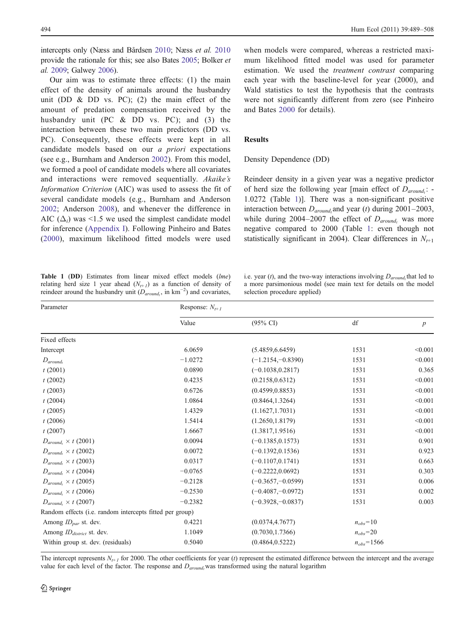<span id="page-5-0"></span>intercepts only (Næss and Bårdsen [2010;](#page-19-0) Næss et al. [2010](#page-19-0) provide the rationale for this; see also Bates [2005](#page-18-0); Bolker et al. [2009;](#page-18-0) Galwey [2006\)](#page-18-0).

Our aim was to estimate three effects: (1) the main effect of the density of animals around the husbandry unit (DD  $\&$  DD vs. PC); (2) the main effect of the amount of predation compensation received by the husbandry unit (PC & DD vs. PC); and (3) the interaction between these two main predictors (DD vs. PC). Consequently, these effects were kept in all candidate models based on our a priori expectations (see e.g., Burnham and Anderson [2002\)](#page-18-0). From this model, we formed a pool of candidate models where all covariates and interactions were removed sequentially. Akaike's Information Criterion (AIC) was used to assess the fit of several candidate models (e.g., Burnham and Anderson [2002](#page-18-0); Anderson [2008\)](#page-17-0), and whenever the difference in AIC  $(\Delta_i)$  was <1.5 we used the simplest candidate model for inference [\(Appendix I\)](#page-12-0). Following Pinheiro and Bates [\(2000\)](#page-19-0), maximum likelihood fitted models were used

when models were compared, whereas a restricted maximum likelihood fitted model was used for parameter estimation. We used the treatment contrast comparing each year with the baseline-level for year (2000), and Wald statistics to test the hypothesis that the contrasts were not significantly different from zero (see Pinheiro and Bates [2000](#page-19-0) for details).

## Results

# Density Dependence (DD)

Reindeer density in a given year was a negative predictor of herd size the following year [main effect of  $D_{around_i}$ : -1.0272 (Table 1)]. There was a non-significant positive interaction between  $D_{around<sub>t</sub>}$  and year (*t*) during 2001–2003, while during 2004–2007 the effect of  $D_{around}$  was more negative compared to 2000 (Table 1: even though not statistically significant in 2004). Clear differences in  $N_{t+1}$ 

Table 1 (DD) Estimates from linear mixed effect models (lme) relating herd size 1 year ahead  $(N_{t+1})$  as a function of density of reindeer around the husbandry unit  $(D_{around_{t}}$ , in km<sup>-2</sup>) and covariates,

i.e. year (t), and the two-way interactions involving  $D_{around}$  that led to a more parsimonious model (see main text for details on the model selection procedure applied)

| Parameter                                                | Response: $N_{t+1}$ |                     |                  |                  |  |
|----------------------------------------------------------|---------------------|---------------------|------------------|------------------|--|
|                                                          | Value               | $(95\% \text{ CI})$ | df               | $\boldsymbol{p}$ |  |
| Fixed effects                                            |                     |                     |                  |                  |  |
| Intercept                                                | 6.0659              | (5.4859, 6.6459)    | 1531             | < 0.001          |  |
| $D_{around_t}$                                           | $-1.0272$           | $(-1.2154,-0.8390)$ | 1531             | < 0.001          |  |
| t(2001)                                                  | 0.0890              | $(-0.1038, 0.2817)$ | 1531             | 0.365            |  |
| t(2002)                                                  | 0.4235              | (0.2158, 0.6312)    | 1531             | < 0.001          |  |
| t(2003)                                                  | 0.6726              | (0.4599, 0.8853)    | 1531             | < 0.001          |  |
| t(2004)                                                  | 1.0864              | (0.8464, 1.3264)    | 1531             | < 0.001          |  |
| t(2005)                                                  | 1.4329              | (1.1627, 1.7031)    | 1531             | < 0.001          |  |
| t(2006)                                                  | 1.5414              | (1.2650, 1.8179)    | 1531             | < 0.001          |  |
| t(2007)                                                  | 1.6667              | (1.3817, 1.9516)    | 1531             | < 0.001          |  |
| $D_{around_t} \times t$ (2001)                           | 0.0094              | $(-0.1385, 0.1573)$ | 1531             | 0.901            |  |
| $D_{around_t} \times t$ (2002)                           | 0.0072              | $(-0.1392, 0.1536)$ | 1531             | 0.923            |  |
| $D_{around_t} \times t$ (2003)                           | 0.0317              | $(-0.1107, 0.1741)$ | 1531             | 0.663            |  |
| $D_{around_t} \times t$ (2004)                           | $-0.0765$           | $(-0.2222, 0.0692)$ | 1531             | 0.303            |  |
| $D_{around_t} \times t$ (2005)                           | $-0.2128$           | $(-0.3657,-0.0599)$ | 1531             | 0.006            |  |
| $D_{around_t} \times t$ (2006)                           | $-0.2530$           | $(-0.4087,-0.0972)$ | 1531             | 0.002            |  |
| $D_{around_t} \times t$ (2007)                           | $-0.2382$           | $(-0.3928,-0.0837)$ | 1531             | 0.003            |  |
| Random effects (i.e. random intercepts fitted per group) |                     |                     |                  |                  |  |
| Among $ID_{par}$ st. dev.                                | 0.4221              | (0.0374, 4.7677)    | $n_{obs} = 10$   |                  |  |
| Among <i>ID</i> <sub>district</sub> st. dev.             | 1.1049              | (0.7030, 1.7366)    | $n_{obs} = 20$   |                  |  |
| Within group st. dev. (residuals)                        | 0.5040              | (0.4864, 0.5222)    | $n_{obs} = 1566$ |                  |  |

The intercept represents  $N_{t+1}$  for 2000. The other coefficients for year (t) represent the estimated difference between the intercept and the average value for each level of the factor. The response and  $D_{around}$  was transformed using the natural logarithm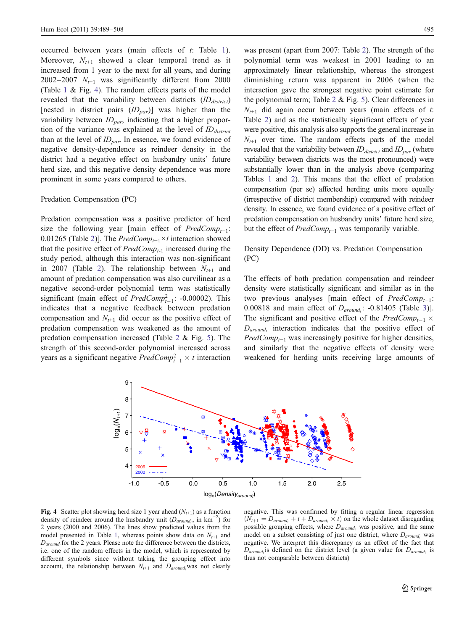occurred between years (main effects of t: Table [1](#page-5-0)). Moreover,  $N_{t+1}$  showed a clear temporal trend as it increased from 1 year to the next for all years, and during 2002–2007  $N_{t+1}$  was significantly different from 2000 (Table [1](#page-5-0) & Fig. 4). The random effects parts of the model revealed that the variability between districts  $(ID_{\text{district}})$ [nested in district pairs  $(ID_{par})$ ] was higher than the variability between  $ID_{par}$ , indicating that a higher proportion of the variance was explained at the level of  $ID_{\text{distinct}}$ than at the level of  $ID_{par}$ . In essence, we found evidence of negative density-dependence as reindeer density in the district had a negative effect on husbandry units' future herd size, and this negative density dependence was more prominent in some years compared to others.

## Predation Compensation (PC)

Predation compensation was a positive predictor of herd size the following year [main effect of  $PredComp_{t-1}$ : 0.01265 (Table [2\)](#page-7-0)]. The  $PredComp_{t-1} \times t$  interaction showed that the positive effect of  $PredComp_{t-1}$  increased during the study period, although this interaction was non-significant in [2](#page-7-0)007 (Table 2). The relationship between  $N_{t+1}$  and amount of predation compensation was also curvilinear as a negative second-order polynomial term was statistically significant (main effect of  $PredComp_{t-1}^2$ : -0.00002). This indicates that a negative feedback between predation compensation and  $N_{t+1}$  did occur as the positive effect of predation compensation was weakened as the amount of predation compensation increased (Table [2](#page-7-0) & Fig. [5](#page-7-0)). The strength of this second-order polynomial increased across years as a significant negative  $PredComp_{t-1}^2 \times t$  interaction

was present (apart from 2007: Table [2](#page-7-0)). The strength of the polynomial term was weakest in 2001 leading to an approximately linear relationship, whereas the strongest diminishing return was apparent in 2006 (when the interaction gave the strongest negative point estimate for the polynomial term; Table [2](#page-7-0) & Fig. [5\)](#page-7-0). Clear differences in  $N_{t+1}$  did again occur between years (main effects of t: Table [2\)](#page-7-0) and as the statistically significant effects of year were positive, this analysis also supports the general increase in  $N_{t+1}$  over time. The random effects parts of the model revealed that the variability between  $ID_{\text{district}}$  and  $ID_{\text{par}}$  (where variability between districts was the most pronounced) were substantially lower than in the analysis above (comparing Tables [1](#page-5-0) and [2](#page-7-0)). This means that the effect of predation compensation (per se) affected herding units more equally (irrespective of district membership) compared with reindeer density. In essence, we found evidence of a positive effect of predation compensation on husbandry units' future herd size, but the effect of  $PredComp_{t-1}$  was temporarily variable.

# Density Dependence (DD) vs. Predation Compensation (PC)

The effects of both predation compensation and reindeer density were statistically significant and similar as in the two previous analyses [main effect of  $PredComp_{t-1}$ : 0.00818 and main effect of  $D_{around_i}$ : -0.81405 (Table [3](#page-8-0))]. The significant and positive effect of the  $PredComp_{t-1} \times$  $D_{around}$  interaction indicates that the positive effect of  $PredComp_{t-1}$  was increasingly positive for higher densities, and similarly that the negative effects of density were weakened for herding units receiving large amounts of



Fig. 4 Scatter plot showing herd size 1 year ahead  $(N_{t+1})$  as a function density of reindeer around the husbandry unit  $(D_{around_{t}}$ , in  $km^{-2}$ ) for 2 years (2000 and 2006). The lines show predicted values from the model presented in Table [1,](#page-5-0) whereas points show data on  $N_{t+1}$  and  $D_{around}$  for the 2 years. Please note the difference between the districts, i.e. one of the random effects in the model, which is represented by different symbols since without taking the grouping effect into account, the relationship between  $N_{t+1}$  and  $D_{around}$  was not clearly

negative. This was confirmed by fitting a regular linear regression  $(N_{t+1} = D_{around_t} + t + D_{around_t} \times t)$  on the whole dataset disregarding possible grouping effects, where  $D_{around}$  was positive, and the same model on a subset consisting of just one district, where  $D_{around<sub>t</sub>}$  was negative. We interpret this discrepancy as an effect of the fact that  $D_{around}$  is defined on the district level (a given value for  $D_{around}$  is thus not comparable between districts)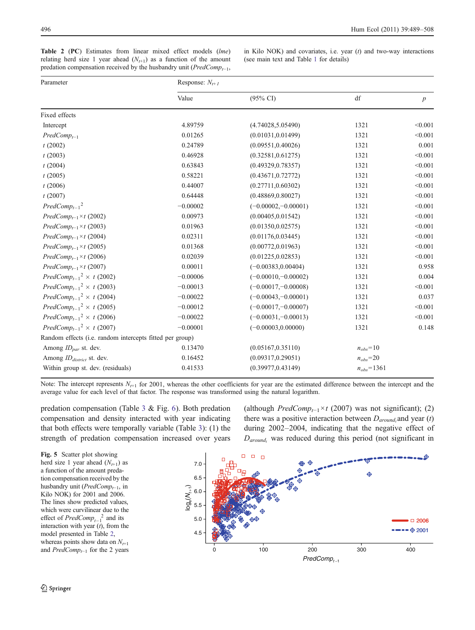<span id="page-7-0"></span>Table 2 (PC) Estimates from linear mixed effect models (lme) relating herd size 1 year ahead  $(N<sub>t+1</sub>)$  as a function of the amount predation compensation received by the husbandry unit ( $PredComp_{t-1}$ , in Kilo NOK) and covariates, i.e. year  $(t)$  and two-way interactions (see main text and Table [1](#page-5-0) for details)

| Parameter                                                     | Response: $N_{t+1}$ |                       |                  |                  |  |  |
|---------------------------------------------------------------|---------------------|-----------------------|------------------|------------------|--|--|
|                                                               | Value               | $(95\% \text{ CI})$   | df               | $\boldsymbol{p}$ |  |  |
| Fixed effects                                                 |                     |                       |                  |                  |  |  |
| Intercept                                                     | 4.89759             | (4.74028, 5.05490)    | 1321             | < 0.001          |  |  |
| $PredComp_{t-1}$                                              | 0.01265             | (0.01031, 0.01499)    | 1321             | < 0.001          |  |  |
| t(2002)                                                       | 0.24789             | (0.09551, 0.40026)    | 1321             | 0.001            |  |  |
| t(2003)                                                       | 0.46928             | (0.32581, 0.61275)    | 1321             | < 0.001          |  |  |
| t(2004)                                                       | 0.63843             | (0.49329, 0.78357)    | 1321             | < 0.001          |  |  |
| t(2005)                                                       | 0.58221             | (0.43671, 0.72772)    | 1321             | < 0.001          |  |  |
| t(2006)                                                       | 0.44007             | (0.27711, 0.60302)    | 1321             | < 0.001          |  |  |
| t(2007)                                                       | 0.64448             | (0.48869, 0.80027)    | 1321             | < 0.001          |  |  |
| $PredComp_{t-1}^2$                                            | $-0.00002$          | $(-0.00002,-0.00001)$ | 1321             | < 0.001          |  |  |
| $PredComp_{t-1} \times t$ (2002)                              | 0.00973             | (0.00405, 0.01542)    | 1321             | < 0.001          |  |  |
| $PredComp_{t-1} \times t$ (2003)                              | 0.01963             | (0.01350, 0.02575)    | 1321             | < 0.001          |  |  |
| $PredComp_{t-1} \times t$ (2004)                              | 0.02311             | (0.01176, 0.03445)    | 1321             | < 0.001          |  |  |
| $PredComp_{t-1} \times t$ (2005)                              | 0.01368             | (0.00772, 0.01963)    | 1321             | < 0.001          |  |  |
| $PredComp_{t-1} \times t$ (2006)                              | 0.02039             | (0.01225, 0.02853)    | 1321             | < 0.001          |  |  |
| $PredComp_{t-1} \times t$ (2007)                              | 0.00011             | $(-0.00383, 0.00404)$ | 1321             | 0.958            |  |  |
| $PredComp_{t-1}^2 \times t$ (2002)                            | $-0.00006$          | $(-0.00010,-0.00002)$ | 1321             | 0.004            |  |  |
| $PredComp_{t-1}^2 \times t$ (2003)                            | $-0.00013$          | $(-0.00017,-0.00008)$ | 1321             | < 0.001          |  |  |
| $PredComp_{t-1}^2 \times t$ (2004)                            | $-0.00022$          | $(-0.00043,-0.00001)$ | 1321             | 0.037            |  |  |
| <i>PredComp</i> <sub>t-1</sub> <sup>2</sup> $\times$ t (2005) | $-0.00012$          | $(-0.00017,-0.00007)$ | 1321             | < 0.001          |  |  |
| $PredComp_{t-1}^2 \times t$ (2006)                            | $-0.00022$          | $(-0.00031,-0.00013)$ | 1321             | < 0.001          |  |  |
| $PredComp_{t-1}^2 \times t$ (2007)                            | $-0.00001$          | $(-0.00003, 0.00000)$ | 1321             | 0.148            |  |  |
| Random effects (i.e. random intercepts fitted per group)      |                     |                       |                  |                  |  |  |
| Among $ID_{par}$ st. dev.                                     | 0.13470             | (0.05167, 0.35110)    | $n_{obs} = 10$   |                  |  |  |
| Among <i>ID<sub>district</sub></i> st. dev.                   | 0.16452             | (0.09317, 0.29051)    | $n_{obs} = 20$   |                  |  |  |
| Within group st. dev. (residuals)                             | 0.41533             | (0.39977, 0.43149)    | $n_{obs} = 1361$ |                  |  |  |
|                                                               |                     |                       |                  |                  |  |  |

Note: The intercept represents  $N_{t+1}$  for 2001, whereas the other coefficients for year are the estimated difference between the intercept and the average value for each level of that factor. The response was transformed using the natural logarithm.

predation compensation (Table [3](#page-8-0) & Fig. [6\)](#page-9-0). Both predation compensation and density interacted with year indicating that both effects were temporally variable (Table [3\)](#page-8-0): (1) the strength of predation compensation increased over years

(although *PredComp<sub>t-1</sub>*×t (2007) was not significant); (2) there was a positive interaction between  $D_{around_i}$  and year (t) during 2002–2004, indicating that the negative effect of  $D_{around_t}$  was reduced during this period (not significant in

Fig. 5 Scatter plot showing herd size 1 year ahead  $(N_{t+1})$  as a function of the amount predation compensation received by the husbandry unit ( $PredComp_{t-1}$ , in Kilo NOK) for 2001 and 2006. The lines show predicted values, which were curvilinear due to the effect of  $PredComp_{t-1}^2$  and its interaction with year  $(t)$ , from the model presented in Table 2, whereas points show data on  $N_{t+1}$ and *PredComp*<sub> $t-1$ </sub> for the 2 years

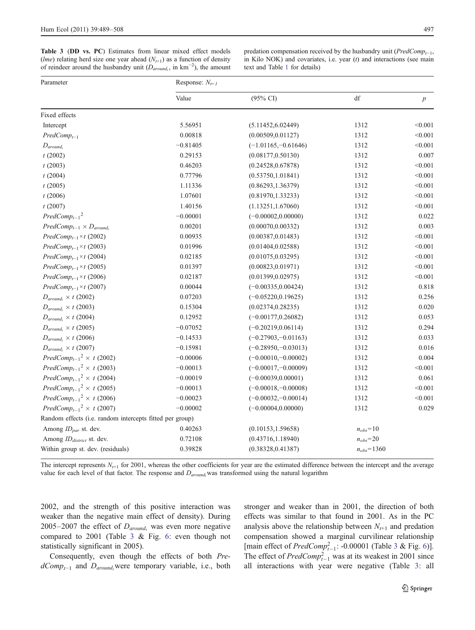<span id="page-8-0"></span>Table 3 (DD vs. PC) Estimates from linear mixed effect models (*lme*) relating herd size one year ahead ( $N_{t+1}$ ) as a function of density of reindeer around the husbandry unit ( $D_{around}$ , in km<sup>-2</sup>), the amount

predation compensation received by the husbandry unit ( $PredComp_{t-1}$ , in Kilo NOK) and covariates, i.e. year  $(t)$  and interactions (see main text and Table [1](#page-5-0) for details)

| Parameter                                                | Response: $N_{t+1}$ |                       |                  |                  |  |  |
|----------------------------------------------------------|---------------------|-----------------------|------------------|------------------|--|--|
|                                                          | Value               | $(95\% \text{ CI})$   | df               | $\boldsymbol{p}$ |  |  |
| Fixed effects                                            |                     |                       |                  |                  |  |  |
| Intercept                                                | 5.56951             | (5.11452, 6.02449)    | 1312             | < 0.001          |  |  |
| $PredComp_{t-1}$                                         | 0.00818             | (0.00509, 0.01127)    | 1312             | < 0.001          |  |  |
| $D_{around_t}$                                           | $-0.81405$          | $(-1.01165,-0.61646)$ | 1312             | < 0.001          |  |  |
| t(2002)                                                  | 0.29153             | (0.08177, 0.50130)    | 1312             | 0.007            |  |  |
| t(2003)                                                  | 0.46203             | (0.24528, 0.67878)    | 1312             | < 0.001          |  |  |
| t(2004)                                                  | 0.77796             | (0.53750, 1.01841)    | 1312             | < 0.001          |  |  |
| t(2005)                                                  | 1.11336             | (0.86293, 1.36379)    | 1312             | < 0.001          |  |  |
| t(2006)                                                  | 1.07601             | (0.81970, 1.33233)    | 1312             | < 0.001          |  |  |
| t(2007)                                                  | 1.40156             | (1.13251, 1.67060)    | 1312             | < 0.001          |  |  |
| $PredComp_{t-1}^2$                                       | $-0.00001$          | $(-0.00002, 0.00000)$ | 1312             | 0.022            |  |  |
| $PredComp_{t-1} \times D_{around_{t}}$                   | 0.00201             | (0.00070, 0.00332)    | 1312             | 0.003            |  |  |
| $PredComp_{t-1} \times t$ (2002)                         | 0.00935             | (0.00387, 0.01483)    | 1312             | < 0.001          |  |  |
| $PredComp_{t-1} \times t$ (2003)                         | 0.01996             | (0.01404, 0.02588)    | 1312             | < 0.001          |  |  |
| $PredComp_{t-1} \times t$ (2004)                         | 0.02185             | (0.01075, 0.03295)    | 1312             | < 0.001          |  |  |
| $PredComp_{t-1} \times t$ (2005)                         | 0.01397             | (0.00823, 0.01971)    | 1312             | < 0.001          |  |  |
| $PredComp_{t-1} \times t$ (2006)                         | 0.02187             | (0.01399, 0.02975)    | 1312             | < 0.001          |  |  |
| $PredComp_{t-1} \times t$ (2007)                         | 0.00044             | $(-0.00335, 0.00424)$ | 1312             | 0.818            |  |  |
| $D_{around_t} \times t$ (2002)                           | 0.07203             | $(-0.05220, 0.19625)$ | 1312             | 0.256            |  |  |
| $D_{around_t} \times t$ (2003)                           | 0.15304             | (0.02374, 0.28235)    | 1312             | 0.020            |  |  |
| $D_{around_t} \times t$ (2004)                           | 0.12952             | $(-0.00177, 0.26082)$ | 1312             | 0.053            |  |  |
| $D_{around_t} \times t$ (2005)                           | $-0.07052$          | $(-0.20219, 0.06114)$ | 1312             | 0.294            |  |  |
| $D_{around_t} \times t$ (2006)                           | $-0.14533$          | $(-0.27903,-0.01163)$ | 1312             | 0.033            |  |  |
| $D_{around_t} \times t$ (2007)                           | $-0.15981$          | $(-0.28950,-0.03013)$ | 1312             | 0.016            |  |  |
| $PredComp_{t-1}^2 \times t$ (2002)                       | $-0.00006$          | $(-0.00010,-0.00002)$ | 1312             | 0.004            |  |  |
| $PredComp_{t-1}^2 \times t$ (2003)                       | $-0.00013$          | $(-0.00017,-0.00009)$ | 1312             | < 0.001          |  |  |
| $PredComp_{t-1}^2 \times t$ (2004)                       | $-0.00019$          | $(-0.00039, 0.00001)$ | 1312             | 0.061            |  |  |
| $PredComp_{t-1}^2 \times t$ (2005)                       | $-0.00013$          | $(-0.00018,-0.00008)$ | 1312             | < 0.001          |  |  |
| $PredComp_{t-1}^2 \times t$ (2006)                       | $-0.00023$          | $(-0.00032,-0.00014)$ | 1312             | < 0.001          |  |  |
| $PredComp_{t-1}^2 \times t$ (2007)                       | $-0.00002$          | $(-0.00004, 0.00000)$ | 1312             | 0.029            |  |  |
| Random effects (i.e. random intercepts fitted per group) |                     |                       |                  |                  |  |  |
| Among $ID_{par}$ st. dev.                                | 0.40263             | (0.10153, 1.59658)    | $n_{obs} = 10$   |                  |  |  |
| Among ID <sub>district</sub> st. dev.                    | 0.72108             | (0.43716, 1.18940)    | $n_{obs} = 20$   |                  |  |  |
| Within group st. dev. (residuals)                        | 0.39828             | (0.38328, 0.41387)    | $n_{obs} = 1360$ |                  |  |  |

The intercept represents  $N_{t+1}$  for 2001, whereas the other coefficients for year are the estimated difference between the intercept and the average value for each level of that factor. The response and  $D_{around}$  was transformed using the natural logarithm

2002, and the strength of this positive interaction was weaker than the negative main effect of density). During 2005–2007 the effect of  $D_{around_t}$  was even more negative compared to 2001 (Table 3 & Fig. [6:](#page-9-0) even though not statistically significant in 2005).

Consequently, even though the effects of both Pre $dComp_{t-1}$  and  $D_{around_t}$  were temporary variable, i.e., both stronger and weaker than in 2001, the direction of both effects was similar to that found in 2001. As in the PC analysis above the relationship between  $N_{t+1}$  and predation compensation showed a marginal curvilinear relationship [main effect of  $PredComp_{t-1}^2$ : -0.00001 (Table 3 & Fig. [6](#page-9-0))]. The effect of  $PredComp_{t-1}^2$  was at its weakest in 2001 since all interactions with year were negative (Table 3: all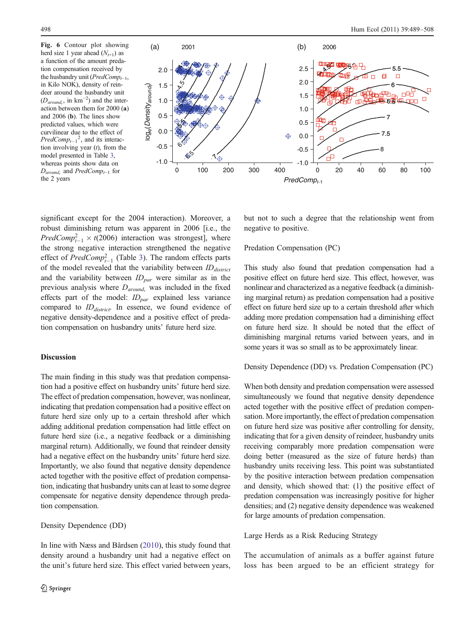<span id="page-9-0"></span>Fig. 6 Contour plot showing herd size 1 year ahead  $(N_{t+1})$  as a function of the amount predation compensation received by the husbandry unit ( $PredComp_{t-1}$ , in Kilo NOK), density of reindeer around the husbandry unit  $(D_{around_t}, \text{ in km}^{-2})$  and the interaction between them for 2000 (a) and 2006 (b). The lines show predicted values, which were curvilinear due to the effect of *PredComp*<sub> $t-1$ </sub><sup>2</sup>, and its interaction involving year  $(t)$ , from the model presented in Table [3](#page-8-0), whereas points show data on  $D_{around_t}$  and *PredComp*<sub>t−1</sub> for the 2 years



significant except for the 2004 interaction). Moreover, a robust diminishing return was apparent in 2006 [i.e., the *PredComp*<sup>2</sup><sub>t-1</sub> × t(2006) interaction was strongest], where the strong negative interaction strengthened the negative effect of  $PredComp_{t-1}^2$  (Table [3](#page-8-0)). The random effects parts of the model revealed that the variability between  $ID_{distric}$ and the variability between  $ID_{par}$  were similar as in the previous analysis where  $D_{around}$  was included in the fixed effects part of the model:  $ID_{par}$  explained less variance compared to  $ID_{district}$ . In essence, we found evidence of negative density-dependence and a positive effect of predation compensation on husbandry units' future herd size.

# Discussion

The main finding in this study was that predation compensation had a positive effect on husbandry units' future herd size. The effect of predation compensation, however, was nonlinear, indicating that predation compensation had a positive effect on future herd size only up to a certain threshold after which adding additional predation compensation had little effect on future herd size (i.e., a negative feedback or a diminishing marginal return). Additionally, we found that reindeer density had a negative effect on the husbandry units' future herd size. Importantly, we also found that negative density dependence acted together with the positive effect of predation compensation, indicating that husbandry units can at least to some degree compensate for negative density dependence through predation compensation.

# Density Dependence (DD)

In line with Næss and Bårdsen [\(2010](#page-19-0)), this study found that density around a husbandry unit had a negative effect on the unit's future herd size. This effect varied between years,

but not to such a degree that the relationship went from negative to positive.

Predation Compensation (PC)

This study also found that predation compensation had a positive effect on future herd size. This effect, however, was nonlinear and characterized as a negative feedback (a diminishing marginal return) as predation compensation had a positive effect on future herd size up to a certain threshold after which adding more predation compensation had a diminishing effect on future herd size. It should be noted that the effect of diminishing marginal returns varied between years, and in some years it was so small as to be approximately linear.

Density Dependence (DD) vs. Predation Compensation (PC)

When both density and predation compensation were assessed simultaneously we found that negative density dependence acted together with the positive effect of predation compensation. More importantly, the effect of predation compensation on future herd size was positive after controlling for density, indicating that for a given density of reindeer, husbandry units receiving comparably more predation compensation were doing better (measured as the size of future herds) than husbandry units receiving less. This point was substantiated by the positive interaction between predation compensation and density, which showed that: (1) the positive effect of predation compensation was increasingly positive for higher densities; and (2) negative density dependence was weakened for large amounts of predation compensation.

Large Herds as a Risk Reducing Strategy

The accumulation of animals as a buffer against future loss has been argued to be an efficient strategy for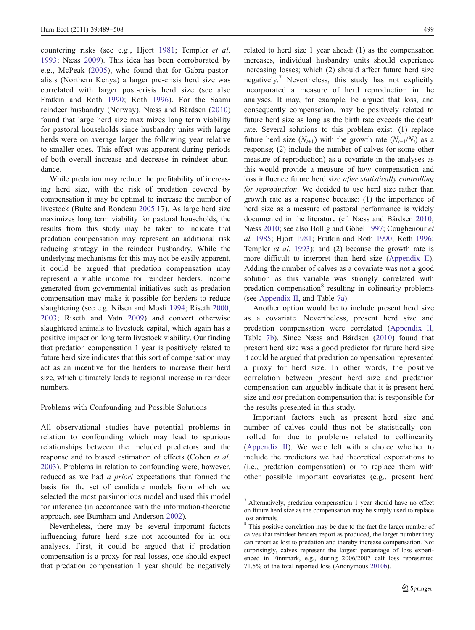countering risks (see e.g., Hjort [1981;](#page-18-0) Templer et al. [1993;](#page-19-0) Næss [2009\)](#page-19-0). This idea has been corroborated by e.g., McPeak [\(2005\)](#page-19-0), who found that for Gabra pastoralists (Northern Kenya) a larger pre-crisis herd size was correlated with larger post-crisis herd size (see also Fratkin and Roth [1990](#page-18-0); Roth [1996\)](#page-19-0). For the Saami reindeer husbandry (Norway), Næss and Bårdsen [\(2010\)](#page-19-0) found that large herd size maximizes long term viability for pastoral households since husbandry units with large herds were on average larger the following year relative to smaller ones. This effect was apparent during periods of both overall increase and decrease in reindeer abundance.

While predation may reduce the profitability of increasing herd size, with the risk of predation covered by compensation it may be optimal to increase the number of livestock (Bulte and Rondeau [2005](#page-18-0):17). As large herd size maximizes long term viability for pastoral households, the results from this study may be taken to indicate that predation compensation may represent an additional risk reducing strategy in the reindeer husbandry. While the underlying mechanisms for this may not be easily apparent, it could be argued that predation compensation may represent a viable income for reindeer herders. Income generated from governmental initiatives such as predation compensation may make it possible for herders to reduce slaughtering (see e.g. Nilsen and Mosli [1994](#page-19-0); Riseth [2000,](#page-19-0) [2003;](#page-19-0) Riseth and Vatn [2009\)](#page-19-0) and convert otherwise slaughtered animals to livestock capital, which again has a positive impact on long term livestock viability. Our finding that predation compensation 1 year is positively related to future herd size indicates that this sort of compensation may act as an incentive for the herders to increase their herd size, which ultimately leads to regional increase in reindeer numbers.

Problems with Confounding and Possible Solutions

All observational studies have potential problems in relation to confounding which may lead to spurious relationships between the included predictors and the response and to biased estimation of effects (Cohen et al. [2003\)](#page-18-0). Problems in relation to confounding were, however, reduced as we had a priori expectations that formed the basis for the set of candidate models from which we selected the most parsimonious model and used this model for inference (in accordance with the information-theoretic approach, see Burnham and Anderson [2002\)](#page-18-0).

Nevertheless, there may be several important factors influencing future herd size not accounted for in our analyses. First, it could be argued that if predation compensation is a proxy for real losses, one should expect that predation compensation 1 year should be negatively related to herd size 1 year ahead: (1) as the compensation increases, individual husbandry units should experience increasing losses; which (2) should affect future herd size negatively.<sup>7</sup> Nevertheless, this study has not explicitly incorporated a measure of herd reproduction in the analyses. It may, for example, be argued that loss, and consequently compensation, may be positively related to future herd size as long as the birth rate exceeds the death rate. Several solutions to this problem exist: (1) replace future herd size  $(N_{t+1})$  with the growth rate  $(N_{t+1}/N_t)$  as a response; (2) include the number of calves (or some other measure of reproduction) as a covariate in the analyses as this would provide a measure of how compensation and loss influence future herd size after statistically controlling for reproduction. We decided to use herd size rather than growth rate as a response because: (1) the importance of herd size as a measure of pastoral performance is widely documented in the literature (cf. Næss and Bårdsen [2010;](#page-19-0) Næss [2010](#page-19-0); see also Bollig and Göbel [1997](#page-18-0); Coughenour et al. [1985](#page-18-0); Hjort [1981](#page-18-0); Fratkin and Roth [1990;](#page-18-0) Roth [1996;](#page-19-0) Templer et al. [1993](#page-19-0)); and (2) because the growth rate is more difficult to interpret than herd size ([Appendix II\)](#page-13-0). Adding the number of calves as a covariate was not a good solution as this variable was strongly correlated with predation compensation<sup>8</sup> resulting in colinearity problems (see [Appendix II](#page-13-0), and Table [7a](#page-14-0)).

Another option would be to include present herd size as a covariate. Nevertheless, present herd size and predation compensation were correlated [\(Appendix II,](#page-13-0) Table [7b\)](#page-14-0). Since Næss and Bårdsen [\(2010\)](#page-19-0) found that present herd size was a good predictor for future herd size it could be argued that predation compensation represented a proxy for herd size. In other words, the positive correlation between present herd size and predation compensation can arguably indicate that it is present herd size and not predation compensation that is responsible for the results presented in this study.

Important factors such as present herd size and number of calves could thus not be statistically controlled for due to problems related to collinearity [\(Appendix II](#page-13-0)). We were left with a choice whether to include the predictors we had theoretical expectations to (i.e., predation compensation) or to replace them with other possible important covariates (e.g., present herd

<sup>7</sup> Alternatively, predation compensation 1 year should have no effect on future herd size as the compensation may be simply used to replace lost animals.

<sup>8</sup> This positive correlation may be due to the fact the larger number of calves that reindeer herders report as produced, the larger number they can report as lost to predation and thereby increase compensation. Not surprisingly, calves represent the largest percentage of loss experienced in Finnmark, e.g., during 2006/2007 calf loss represented 71.5% of the total reported loss (Anonymous [2010b\)](#page-18-0).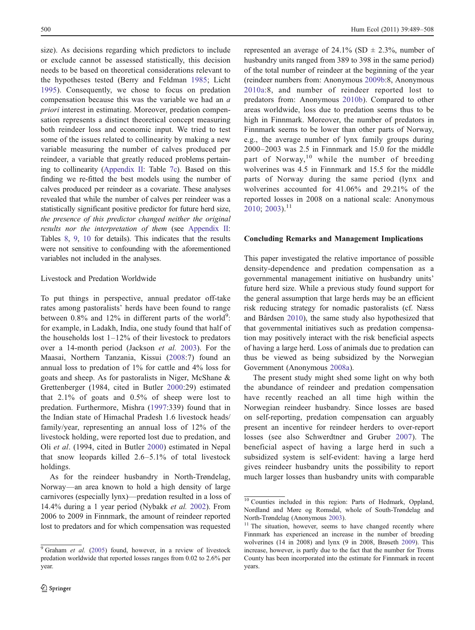size). As decisions regarding which predictors to include or exclude cannot be assessed statistically, this decision needs to be based on theoretical considerations relevant to the hypotheses tested (Berry and Feldman [1985;](#page-18-0) Licht [1995](#page-19-0)). Consequently, we chose to focus on predation compensation because this was the variable we had an a priori interest in estimating. Moreover, predation compensation represents a distinct theoretical concept measuring both reindeer loss and economic input. We tried to test some of the issues related to collinearity by making a new variable measuring the number of calves produced per reindeer, a variable that greatly reduced problems pertaining to collinearity [\(Appendix II](#page-13-0): Table [7c\)](#page-14-0). Based on this finding we re-fitted the best models using the number of calves produced per reindeer as a covariate. These analyses revealed that while the number of calves per reindeer was a statistically significant positive predictor for future herd size, the presence of this predictor changed neither the original results nor the interpretation of them (see [Appendix II](#page-13-0): Tables [8](#page-15-0), [9](#page-16-0), [10](#page-17-0) for details). This indicates that the results were not sensitive to confounding with the aforementioned variables not included in the analyses.

# Livestock and Predation Worldwide

To put things in perspective, annual predator off-take rates among pastoralists' herds have been found to range between  $0.8\%$  and  $12\%$  in different parts of the world<sup>9</sup>: for example, in Ladakh, India, one study found that half of the households lost  $1-12\%$  of their livestock to predators over a 14-month period (Jackson et al. [2003\)](#page-18-0). For the Maasai, Northern Tanzania, Kissui ([2008](#page-18-0):7) found an annual loss to predation of 1% for cattle and 4% loss for goats and sheep. As for pastoralists in Niger, McShane & Grettenberger (1984, cited in Butler [2000:](#page-18-0)29) estimated that 2.1% of goats and 0.5% of sheep were lost to predation. Furthermore, Mishra ([1997:](#page-19-0)339) found that in the Indian state of Himachal Pradesh 1.6 livestock heads/ family/year, representing an annual loss of 12% of the livestock holding, were reported lost due to predation, and Oli et al. (1994, cited in Butler [2000](#page-18-0)) estimated in Nepal that snow leopards killed 2.6–5.1% of total livestock holdings.

As for the reindeer husbandry in North-Trøndelag, Norway—an area known to hold a high density of large carnivores (especially lynx)—predation resulted in a loss of 14.4% during a 1 year period (Nybakk et al. [2002](#page-19-0)). From 2006 to 2009 in Finnmark, the amount of reindeer reported lost to predators and for which compensation was requested

represented an average of 24.1% (SD  $\pm$  2.3%, number of husbandry units ranged from 389 to 398 in the same period) of the total number of reindeer at the beginning of the year (reindeer numbers from: Anonymous [2009b:](#page-18-0)8, Anonymous [2010a:](#page-18-0)8, and number of reindeer reported lost to predators from: Anonymous [2010b](#page-18-0)). Compared to other areas worldwide, loss due to predation seems thus to be high in Finnmark. Moreover, the number of predators in Finnmark seems to be lower than other parts of Norway, e.g., the average number of lynx family groups during 2000–2003 was 2.5 in Finnmark and 15.0 for the middle part of Norway,<sup>10</sup> while the number of breeding wolverines was 4.5 in Finnmark and 15.5 for the middle parts of Norway during the same period (lynx and wolverines accounted for 41.06% and 29.21% of the reported losses in 2008 on a national scale: Anonymous  $2010; 2003$  $2010; 2003$ <sup>11</sup>

#### Concluding Remarks and Management Implications

This paper investigated the relative importance of possible density-dependence and predation compensation as a governmental management initiative on husbandry units' future herd size. While a previous study found support for the general assumption that large herds may be an efficient risk reducing strategy for nomadic pastoralists (cf. Næss and Bårdsen [2010](#page-19-0)), the same study also hypothesized that that governmental initiatives such as predation compensation may positively interact with the risk beneficial aspects of having a large herd. Loss of animals due to predation can thus be viewed as being subsidized by the Norwegian Government (Anonymous [2008a](#page-18-0)).

The present study might shed some light on why both the abundance of reindeer and predation compensation have recently reached an all time high within the Norwegian reindeer husbandry. Since losses are based on self-reporting, predation compensation can arguably present an incentive for reindeer herders to over-report losses (see also Schwerdtner and Gruber [2007\)](#page-19-0). The beneficial aspect of having a large herd in such a subsidized system is self-evident: having a large herd gives reindeer husbandry units the possibility to report much larger losses than husbandry units with comparable

<sup>&</sup>lt;sup>9</sup> Graham et al. ([2005\)](#page-18-0) found, however, in a review of livestock predation worldwide that reported losses ranges from 0.02 to 2.6% per year.

<sup>&</sup>lt;sup>10</sup> Counties included in this region: Parts of Hedmark, Oppland, Nordland and Møre og Romsdal, whole of South-Trøndelag and North-Trøndelag (Anonymous [2003](#page-18-0)).

<sup>&</sup>lt;sup>11</sup> The situation, however, seems to have changed recently where Finnmark has experienced an increase in the number of breeding wolverines (14 in 2008) and lynx (9 in 2008, Brøseth [2009\)](#page-18-0). This increase, however, is partly due to the fact that the number for Troms County has been incorporated into the estimate for Finnmark in recent years.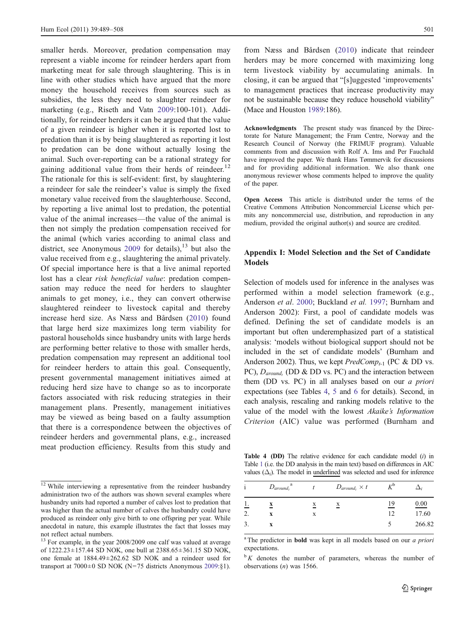<span id="page-12-0"></span>smaller herds. Moreover, predation compensation may represent a viable income for reindeer herders apart from marketing meat for sale through slaughtering. This is in line with other studies which have argued that the more money the household receives from sources such as subsidies, the less they need to slaughter reindeer for marketing (e.g., Riseth and Vatn [2009:](#page-19-0)100-101). Additionally, for reindeer herders it can be argued that the value of a given reindeer is higher when it is reported lost to predation than it is by being slaughtered as reporting it lost to predation can be done without actually losing the animal. Such over-reporting can be a rational strategy for gaining additional value from their herds of reindeer.<sup>12</sup> The rationale for this is self-evident: first, by slaughtering a reindeer for sale the reindeer's value is simply the fixed monetary value received from the slaughterhouse. Second, by reporting a live animal lost to predation, the potential value of the animal increases—the value of the animal is then not simply the predation compensation received for the animal (which varies according to animal class and district, see Anonymous [2009](#page-18-0) for details), $^{13}$  but also the value received from e.g., slaughtering the animal privately. Of special importance here is that a live animal reported lost has a clear *risk beneficial value*: predation compensation may reduce the need for herders to slaughter animals to get money, i.e., they can convert otherwise slaughtered reindeer to livestock capital and thereby increase herd size. As Næss and Bårdsen [\(2010\)](#page-19-0) found that large herd size maximizes long term viability for pastoral households since husbandry units with large herds are performing better relative to those with smaller herds, predation compensation may represent an additional tool for reindeer herders to attain this goal. Consequently, present governmental management initiatives aimed at reducing herd size have to change so as to incorporate factors associated with risk reducing strategies in their management plans. Presently, management initiatives may be viewed as being based on a faulty assumption that there is a correspondence between the objectives of reindeer herders and governmental plans, e.g., increased meat production efficiency. Results from this study and

from Næss and Bårdsen ([2010](#page-19-0)) indicate that reindeer herders may be more concerned with maximizing long term livestock viability by accumulating animals. In closing, it can be argued that "[s]uggested 'improvements' to management practices that increase productivity may not be sustainable because they reduce household viability" (Mace and Houston [1989:](#page-19-0)186).

Acknowledgments The present study was financed by the Directorate for Nature Management; the Fram Centre, Norway and the Research Council of Norway (the FRIMUF program). Valuable comments from and discussion with Rolf A. Ims and Per Fauchald have improved the paper. We thank Hans Tømmervik for discussions and for providing additional information. We also thank one anonymous reviewer whose comments helped to improve the quality of the paper.

Open Access This article is distributed under the terms of the Creative Commons Attribution Noncommercial License which permits any noncommercial use, distribution, and reproduction in any medium, provided the original author(s) and source are credited.

# Appendix I: Model Selection and the Set of Candidate Models

Selection of models used for inference in the analyses was performed within a model selection framework (e.g., Anderson et al. [2000](#page-17-0); Buckland et al. [1997;](#page-18-0) Burnham and Anderson 2002): First, a pool of candidate models was defined. Defining the set of candidate models is an important but often underemphasized part of a statistical analysis: 'models without biological support should not be included in the set of candidate models' (Burnham and Anderson 2002). Thus, we kept  $PredComp_{t-1}$  (PC & DD vs. PC),  $D_{around}$  (DD & DD vs. PC) and the interaction between them (DD vs. PC) in all analyses based on our a priori expectations (see Tables 4, [5](#page-13-0) and [6](#page-13-0) for details). Second, in each analysis, rescaling and ranking models relative to the value of the model with the lowest Akaike's Information Criterion (AIC) value was performed (Burnham and

Table 4 (DD) The relative evidence for each candidate model  $(i)$  in Table [1](#page-5-0) (i.e. the DD analysis in the main text) based on differences in AIC values  $(\Delta_i)$ . The model in <u>underlined</u> was selected and used for inference

| $D_{aroundt}a$          |                         | $D_{around_t} \times t$ | $K^{\rm b}$ |        |
|-------------------------|-------------------------|-------------------------|-------------|--------|
| $\overline{\mathbf{X}}$ | $\overline{\mathbf{x}}$ | $\overline{\mathbf{x}}$ | 19          | 0.00   |
| x                       | X                       |                         | 12          | 17.60  |
| x                       |                         |                         |             | 266.82 |

<sup>a</sup> The predictor in **bold** was kept in all models based on our *a priori* expectations.

 $\frac{12}{12}$  While interviewing a representative from the reindeer husbandry administration two of the authors was shown several examples where husbandry units had reported a number of calves lost to predation that was higher than the actual number of calves the husbandry could have produced as reindeer only give birth to one offspring per year. While anecdotal in nature, this example illustrates the fact that losses may not reflect actual numbers.

<sup>&</sup>lt;sup>13</sup> For example, in the year 2008/2009 one calf was valued at average of 1222.23±157.44 SD NOK, one bull at 2388.65±361.15 SD NOK, one female at 1884.49±262.62 SD NOK and a reindeer used for transport at  $7000\pm0$  SD NOK (N=75 districts Anonymous [2009](#page-18-0):§1).

 $b K$  denotes the number of parameters, whereas the number of observations  $(n)$  was 1566.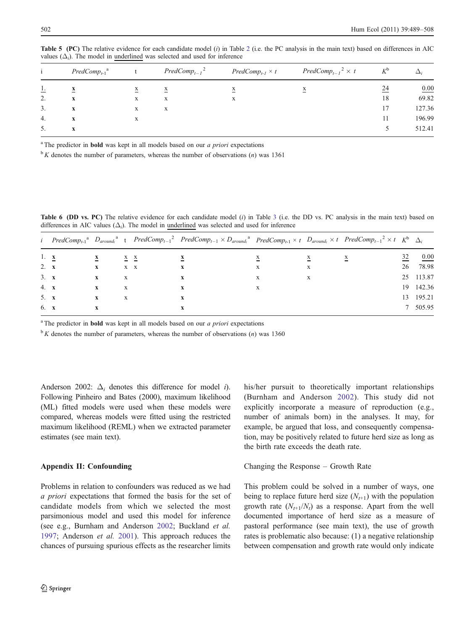|         | $PredComp_{t-1}^a$ |                         | $PredComp_{t-1}^2$ | $PredComp_{t-1} \times t$ | $PredComp_{t-1}^2 \times t$ | $K^{\rm b}$ |        |
|---------|--------------------|-------------------------|--------------------|---------------------------|-----------------------------|-------------|--------|
| $\perp$ |                    | $\overline{\mathbf{x}}$ | ≙                  | $\mathbf{x}$              | <u>x</u>                    | 24          | 0.00   |
| 2.      | X                  | X                       | X                  | X                         |                             | 18          | 69.82  |
| 3.      | X                  | X                       | X                  |                           |                             | 17          | 127.36 |
| 4.      | $\mathbf x$        | X                       |                    |                           |                             | 11          | 196.99 |
| 5.      | $\mathbf x$        |                         |                    |                           |                             |             | 512.41 |

<span id="page-13-0"></span>Table 5 (PC) The relative evidence for each candidate model (i) in Table [2](#page-7-0) (i.e. the PC analysis in the main text) based on differences in AIC values  $(\Delta_i)$ . The model in underlined was selected and used for inference

<sup>a</sup> The predictor in **bold** was kept in all models based on our *a priori* expectations

 $b<sup>b</sup>K$  denotes the number of parameters, whereas the number of observations (n) was 1361

Table 6 (DD vs. PC) The relative evidence for each candidate model (i) in Table [3](#page-8-0) (i.e. the DD vs. PC analysis in the main text) based on differences in AIC values  $(\Delta_i)$ . The model in underlined was selected and used for inference

|                 |              |            | <i>i</i> $PredComp_{t-1}^a$ $D_{around_t}^a$ <i>t</i> $PredComp_{t-1}^2$ $PredComp_{t-1} \times D_{around_t}^a$ $PredComp_{t-1} \times t$ $D_{around_t} \times t$ $PredComp_{t-1}^2 \times t$ $K^b$ $\Delta_i$ |          |          |    |           |
|-----------------|--------------|------------|----------------------------------------------------------------------------------------------------------------------------------------------------------------------------------------------------------------|----------|----------|----|-----------|
| 1. X            | $\mathbf{x}$ | $X \times$ |                                                                                                                                                                                                                | $\Delta$ | $\Delta$ | 32 | 0.00      |
| 2. x            | $\mathbf{x}$ | $X$ X      | x                                                                                                                                                                                                              | X        | X        | 26 | 78.98     |
| 3. x            | $\mathbf{x}$ | X          |                                                                                                                                                                                                                | X        | X        |    | 25 113.87 |
| 4. $\mathbf{x}$ | $\mathbf x$  | X          |                                                                                                                                                                                                                | X        |          |    | 19 142.36 |
| 5. <b>x</b>     | $\mathbf{x}$ | X          |                                                                                                                                                                                                                |          |          |    | 13 195.21 |
| 6. <b>x</b>     | $\mathbf x$  |            |                                                                                                                                                                                                                |          |          |    | 7 505.95  |

 $a$ <sup>a</sup> The predictor in **bold** was kept in all models based on our *a priori* expectations

 $b<sup>b</sup>K$  denotes the number of parameters, whereas the number of observations (n) was 1360

Anderson 2002:  $\Delta_i$  denotes this difference for model *i*). Following Pinheiro and Bates (2000), maximum likelihood (ML) fitted models were used when these models were compared, whereas models were fitted using the restricted maximum likelihood (REML) when we extracted parameter estimates (see main text).

# Appendix II: Confounding

Problems in relation to confounders was reduced as we had a priori expectations that formed the basis for the set of candidate models from which we selected the most parsimonious model and used this model for inference (see e.g., Burnham and Anderson [2002](#page-18-0); Buckland et al. [1997;](#page-18-0) Anderson et al. [2001](#page-17-0)). This approach reduces the chances of pursuing spurious effects as the researcher limits his/her pursuit to theoretically important relationships (Burnham and Anderson [2002](#page-18-0)). This study did not explicitly incorporate a measure of reproduction (e.g., number of animals born) in the analyses. It may, for example, be argued that loss, and consequently compensation, may be positively related to future herd size as long as the birth rate exceeds the death rate.

# Changing the Response – Growth Rate

This problem could be solved in a number of ways, one being to replace future herd size  $(N_{t+1})$  with the population growth rate  $(N_{t+1}/N_t)$  as a response. Apart from the well documented importance of herd size as a measure of pastoral performance (see main text), the use of growth rates is problematic also because: (1) a negative relationship between compensation and growth rate would only indicate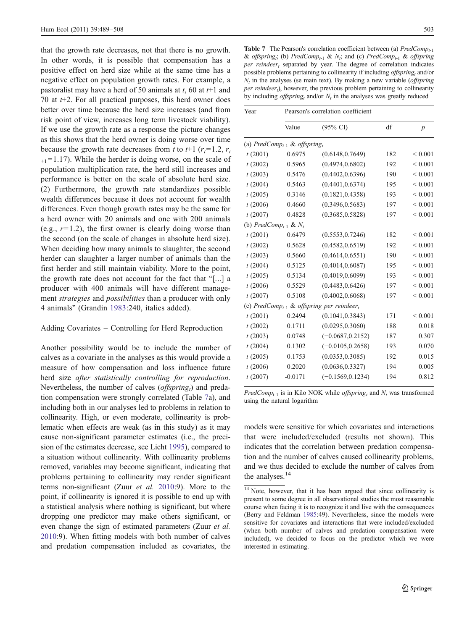<span id="page-14-0"></span>that the growth rate decreases, not that there is no growth. In other words, it is possible that compensation has a positive effect on herd size while at the same time has a negative effect on population growth rates. For example, a pastoralist may have a herd of 50 animals at t, 60 at  $t+1$  and 70 at  $t+2$ . For all practical purposes, this herd owner does better over time because the herd size increases (and from risk point of view, increases long term livestock viability). If we use the growth rate as a response the picture changes as this shows that the herd owner is doing worse over time because the growth rate decreases from t to  $t+1$  ( $r_t=1.2$ ,  $r_t$ )  $_{+1}$ =1.17). While the herder is doing worse, on the scale of population multiplication rate, the herd still increases and performance is better on the scale of absolute herd size. (2) Furthermore, the growth rate standardizes possible wealth differences because it does not account for wealth differences. Even though growth rates may be the same for a herd owner with 20 animals and one with 200 animals (e.g.,  $r=1.2$ ), the first owner is clearly doing worse than the second (on the scale of changes in absolute herd size). When deciding how many animals to slaughter, the second herder can slaughter a larger number of animals than the first herder and still maintain viability. More to the point, the growth rate does not account for the fact that "[…] a producer with 400 animals will have different management strategies and possibilities than a producer with only 4 animals" (Grandin [1983](#page-18-0):240, italics added).

#### Adding Covariates – Controlling for Herd Reproduction

Another possibility would be to include the number of calves as a covariate in the analyses as this would provide a measure of how compensation and loss influence future herd size after statistically controlling for reproduction. Nevertheless, the number of calves (*offspring<sub>t</sub>*) and predation compensation were strongly correlated (Table 7a), and including both in our analyses led to problems in relation to collinearity. High, or even moderate, collinearity is problematic when effects are weak (as in this study) as it may cause non-significant parameter estimates (i.e., the precision of the estimates decrease, see Licht [1995\)](#page-19-0), compared to a situation without collinearity. With collinearity problems removed, variables may become significant, indicating that problems pertaining to collinearity may render significant terms non-significant (Zuur et al. [2010:](#page-19-0)9). More to the point, if collinearity is ignored it is possible to end up with a statistical analysis where nothing is significant, but where dropping one predictor may make others significant, or even change the sign of estimated parameters (Zuur et al. [2010:](#page-19-0)9). When fitting models with both number of calves and predation compensation included as covariates, the

**Table 7** The Pearson's correlation coefficient between (a)  $PredComp_{t-1}$ & offspring<sub>i</sub>; (b) PredComp<sub>t-1</sub> & N<sub>i</sub>; and (c) PredComp<sub>t-1</sub> & offspring per reindeer<sub>t</sub> separated by year. The degree of correlation indicates possible problems pertaining to collinearity if including *offspring*, and/or  $N_t$  in the analyses (se main text). By making a new variable (*offspring* per reindeer $<sub>t</sub>$ ), however, the previous problem pertaining to collinearity</sub> by including *offspring<sub>t</sub>* and/or  $N_t$  in the analyses was greatly reduced

| Year                                | Pearson's correlation coefficient                    |                                                                   |     |                  |  |  |  |
|-------------------------------------|------------------------------------------------------|-------------------------------------------------------------------|-----|------------------|--|--|--|
|                                     | Value                                                | $(95\% \text{ CI})$                                               | df  | $\boldsymbol{p}$ |  |  |  |
|                                     | (a) PredComp <sub>t-1</sub> & offspring <sub>t</sub> |                                                                   |     |                  |  |  |  |
| t(2001)                             | 0.6975                                               | (0.6148, 0.7649)                                                  | 182 | ${}< 0.001$      |  |  |  |
| t(2002)                             | 0.5965                                               | (0.4974, 0.6802)                                                  | 192 | ${}< 0.001$      |  |  |  |
| t(2003)                             | 0.5476                                               | (0.4402, 0.6396)                                                  | 190 | ${}< 0.001$      |  |  |  |
| t(2004)                             | 0.5463                                               | (0.4401, 0.6374)                                                  | 195 | ${}< 0.001$      |  |  |  |
| t(2005)                             | 0.3146                                               | (0.1821, 0.4358)                                                  | 193 | ${}< 0.001$      |  |  |  |
| t(2006)                             | 0.4660                                               | (0.3496, 0.5683)                                                  | 197 | ${}< 0.001$      |  |  |  |
| t(2007)                             | 0.4828                                               | (0.3685, 0.5828)                                                  | 197 | ${}< 0.001$      |  |  |  |
| (b) PredComp <sub>t-1</sub> & $N_t$ |                                                      |                                                                   |     |                  |  |  |  |
| t(2001)                             | 0.6479                                               | (0.5553, 0.7246)                                                  | 182 | ${}< 0.001$      |  |  |  |
| t(2002)                             | 0.5628                                               | (0.4582, 0.6519)                                                  | 192 | ${}< 0.001$      |  |  |  |
| t(2003)                             | 0.5660                                               | (0.4614, 0.6551)                                                  | 190 | ${}< 0.001$      |  |  |  |
| t(2004)                             | 0.5125                                               | (0.4014, 0.6087)                                                  | 195 | ${}< 0.001$      |  |  |  |
| t(2005)                             | 0.5134                                               | (0.4019, 0.6099)                                                  | 193 | ${}< 0.001$      |  |  |  |
| t(2006)                             | 0.5529                                               | (0.4483, 0.6426)                                                  | 197 | ${}< 0.001$      |  |  |  |
| t(2007)                             | 0.5108                                               | (0.4002, 0.6068)                                                  | 197 | ${}< 0.001$      |  |  |  |
|                                     |                                                      | (c) PredComp <sub>t-1</sub> & offspring per reindeer <sub>t</sub> |     |                  |  |  |  |
| t(2001)                             | 0.2494                                               | (0.1041, 0.3843)                                                  | 171 | ${}< 0.001$      |  |  |  |
| t(2002)                             | 0.1711                                               | (0.0295, 0.3060)                                                  | 188 | 0.018            |  |  |  |
| t(2003)                             | 0.0748                                               | $(-0.0687, 0.2152)$                                               | 187 | 0.307            |  |  |  |
| t(2004)                             | 0.1302                                               | $(-0.0105, 0.2658)$                                               | 193 | 0.070            |  |  |  |
| t(2005)                             | 0.1753                                               | (0.0353, 0.3085)                                                  | 192 | 0.015            |  |  |  |
| t(2006)                             | 0.2020                                               | (0.0636, 0.3327)                                                  | 194 | 0.005            |  |  |  |
| t(2007)                             | $-0.0171$                                            | $(-0.1569, 0.1234)$                                               | 194 | 0.812            |  |  |  |
|                                     |                                                      |                                                                   |     |                  |  |  |  |

 $PredComp_{t-1}$  is in Kilo NOK while *offspring<sub>t</sub>* and  $N_t$  was transformed using the natural logarithm

models were sensitive for which covariates and interactions that were included/excluded (results not shown). This indicates that the correlation between predation compensation and the number of calves caused collinearity problems, and we thus decided to exclude the number of calves from the analyses. $14$ 

 $\frac{14}{14}$  Note, however, that it has been argued that since collinearity is present to some degree in all observational studies the most reasonable course when facing it is to recognize it and live with the consequences (Berry and Feldman [1985](#page-18-0):49). Nevertheless, since the models were sensitive for covariates and interactions that were included/excluded (when both number of calves and predation compensation were included), we decided to focus on the predictor which we were interested in estimating.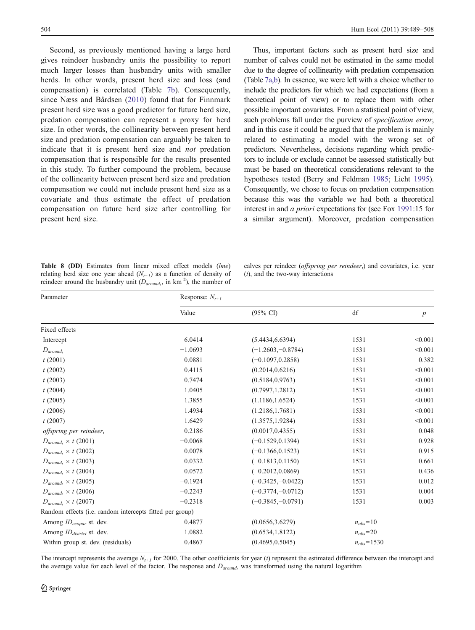<span id="page-15-0"></span>504 Hum Ecol (2011) 39:489–508

Second, as previously mentioned having a large herd gives reindeer husbandry units the possibility to report much larger losses than husbandry units with smaller herds. In other words, present herd size and loss (and compensation) is correlated (Table [7b\)](#page-14-0). Consequently, since Næss and Bårdsen [\(2010\)](#page-19-0) found that for Finnmark present herd size was a good predictor for future herd size, predation compensation can represent a proxy for herd size. In other words, the collinearity between present herd size and predation compensation can arguably be taken to indicate that it is present herd size and not predation compensation that is responsible for the results presented in this study. To further compound the problem, because of the collinearity between present herd size and predation compensation we could not include present herd size as a covariate and thus estimate the effect of predation compensation on future herd size after controlling for present herd size.

Thus, important factors such as present herd size and number of calves could not be estimated in the same model due to the degree of collinearity with predation compensation (Table [7a,b](#page-14-0)). In essence, we were left with a choice whether to include the predictors for which we had expectations (from a theoretical point of view) or to replace them with other possible important covariates. From a statistical point of view, such problems fall under the purview of *specification error*, and in this case it could be argued that the problem is mainly related to estimating a model with the wrong set of predictors. Nevertheless, decisions regarding which predictors to include or exclude cannot be assessed statistically but must be based on theoretical considerations relevant to the hypotheses tested (Berry and Feldman [1985](#page-18-0); Licht [1995\)](#page-19-0). Consequently, we chose to focus on predation compensation because this was the variable we had both a theoretical interest in and a priori expectations for (see Fox [1991:](#page-18-0)15 for a similar argument). Moreover, predation compensation

Table 8 (DD) Estimates from linear mixed effect models (lme) relating herd size one year ahead  $(N<sub>t+1</sub>)$  as a function of density of reindeer around the husbandry unit ( $D_{around_{t}}$ , in km<sup>-2</sup>), the number of

calves per reindeer (*offspring per reindeer*<sub>t</sub>) and covariates, i.e. year  $(t)$ , and the two-way interactions

| Parameter                                                | Response: $N_{t+1}$ |                     |                  |                  |  |
|----------------------------------------------------------|---------------------|---------------------|------------------|------------------|--|
|                                                          | Value               | $(95\% \text{ CI})$ | df               | $\boldsymbol{p}$ |  |
| Fixed effects                                            |                     |                     |                  |                  |  |
| Intercept                                                | 6.0414              | (5.4434, 6.6394)    | 1531             | < 0.001          |  |
| $D_{around_t}$                                           | $-1.0693$           | $(-1.2603,-0.8784)$ | 1531             | < 0.001          |  |
| t(2001)                                                  | 0.0881              | $(-0.1097, 0.2858)$ | 1531             | 0.382            |  |
| t(2002)                                                  | 0.4115              | (0.2014, 0.6216)    | 1531             | < 0.001          |  |
| t(2003)                                                  | 0.7474              | (0.5184, 0.9763)    | 1531             | < 0.001          |  |
| t(2004)                                                  | 1.0405              | (0.7997, 1.2812)    | 1531             | < 0.001          |  |
| t(2005)                                                  | 1.3855              | (1.1186, 1.6524)    | 1531             | < 0.001          |  |
| t(2006)                                                  | 1.4934              | (1.2186, 1.7681)    | 1531             | < 0.001          |  |
| t(2007)                                                  | 1.6429              | (1.3575, 1.9284)    | 1531             | < 0.001          |  |
| $offspring$ per reindeer,                                | 0.2186              | (0.0017, 0.4355)    | 1531             | 0.048            |  |
| $D_{around_t} \times t$ (2001)                           | $-0.0068$           | $(-0.1529, 0.1394)$ | 1531             | 0.928            |  |
| $D_{around_t} \times t$ (2002)                           | 0.0078              | $(-0.1366, 0.1523)$ | 1531             | 0.915            |  |
| $D_{around_t} \times t$ (2003)                           | $-0.0332$           | $(-0.1813, 0.1150)$ | 1531             | 0.661            |  |
| $D_{around_t} \times t$ (2004)                           | $-0.0572$           | $(-0.2012, 0.0869)$ | 1531             | 0.436            |  |
| $D_{around_t} \times t$ (2005)                           | $-0.1924$           | $(-0.3425,-0.0422)$ | 1531             | 0.012            |  |
| $D_{around_t} \times t$ (2006)                           | $-0.2243$           | $(-0.3774,-0.0712)$ | 1531             | 0.004            |  |
| $D_{around_t} \times t$ (2007)                           | $-0.2318$           | $(-0.3845,-0.0791)$ | 1531             | 0.003            |  |
| Random effects (i.e. random intercepts fitted per group) |                     |                     |                  |                  |  |
| Among $ID_{ecopar}$ st. dev.                             | 0.4877              | (0.0656, 3.6279)    | $n_{obs} = 10$   |                  |  |
| Among ID <sub>district</sub> st. dev.                    | 1.0882              | (0.6534, 1.8122)    | $n_{obs} = 20$   |                  |  |
| Within group st. dev. (residuals)                        | 0.4867              | (0.4695, 0.5045)    | $n_{obs} = 1530$ |                  |  |

The intercept represents the average  $N_{t+1}$  for 2000. The other coefficients for year (t) represent the estimated difference between the intercept and the average value for each level of the factor. The response and  $D_{around}$  was transformed using the natural logarithm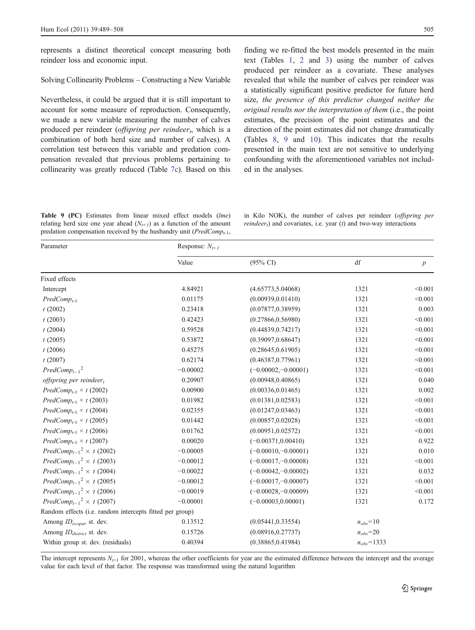Fixed effects

 $PredComp_{t-1}$ 

<span id="page-16-0"></span>represents a distinct theoretical concept measuring both reindeer loss and economic input.

Solving Collinearity Problems – Constructing a New Variable

Nevertheless, it could be argued that it is still important to account for some measure of reproduction. Consequently, we made a new variable measuring the number of calves produced per reindeer (*offspring per reindeer*, which is a combination of both herd size and number of calves). A correlation test between this variable and predation compensation revealed that previous problems pertaining to collinearity was greatly reduced (Table [7c](#page-14-0)). Based on this

finding we re-fitted the best models presented in the main text (Tables [1](#page-5-0), [2](#page-7-0) and [3](#page-8-0)) using the number of calves produced per reindeer as a covariate. These analyses revealed that while the number of calves per reindeer was a statistically significant positive predictor for future herd size, the presence of this predictor changed neither the original results nor the interpretation of them (i.e., the point estimates, the precision of the point estimates and the direction of the point estimates did not change dramatically (Tables [8](#page-15-0), 9 and [10\)](#page-17-0). This indicates that the results presented in the main text are not sensitive to underlying confounding with the aforementioned variables not included in the analyses.

Table 9 (PC) Estimates from linear mixed effect models (lme) relating herd size one year ahead  $(N_{t+1})$  as a function of the amount predation compensation received by the husbandry unit ( $PredComp_{t-1}$ ,

Parameter Response:  $N_{t+1}$ 

in Kilo NOK), the number of calves per reindeer (offspring per *reindeer<sub>t</sub>*) and covariates, i.e. year (*t*) and two-way interactions

Value  $(95\% \text{ CI})$  df p

 $-0.00002$   $(-0.00002,-0.00001)$  1321 <0.001

| $PredComp_{t-1} \times t$ (2003)                                 | 0.01982    | (0.01381, 0.02583)    | 1321             | < 0.001 |
|------------------------------------------------------------------|------------|-----------------------|------------------|---------|
| $PredComp_{t-1} \times t$ (2004)                                 | 0.02355    | (0.01247, 0.03463)    | 1321             | < 0.001 |
| $PredComp_{t-1} \times t$ (2005)                                 | 0.01442    | (0.00857, 0.02028)    | 1321             | < 0.001 |
| $PredComp_{t-1} \times t$ (2006)                                 | 0.01762    | (0.00951, 0.02572)    | 1321             | < 0.001 |
| $PredComp_{t-1} \times t$ (2007)                                 | 0.00020    | $(-0.00371, 0.00410)$ | 1321             | 0.922   |
| <i>PredComp</i> <sub>t-1</sub> <sup>2</sup> $\times$ t (2002)    | $-0.00005$ | $(-0.00010,-0.00001)$ | 1321             | 0.010   |
| <i>PredComp</i> <sub>t-1</sub> <sup>2</sup> $\times$ t (2003)    | $-0.00012$ | $(-0.00017,-0.00008)$ | 1321             | < 0.001 |
| $PredComp_{t-1}^2 \times t$ (2004)                               | $-0.00022$ | $(-0.00042,-0.00002)$ | 1321             | 0.032   |
| <i>PredComp</i> <sub>t-1</sub> <sup>2</sup> $\times$ t (2005)    | $-0.00012$ | $(-0.00017,-0.00007)$ | 1321             | < 0.001 |
| $PredComp_{t-1}^2 \times t$ (2006)                               | $-0.00019$ | $(-0.00028,-0.00009)$ | 1321             | < 0.001 |
| $PredComp_{t-1}^2 \times t$ (2007)                               | $-0.00001$ | $(-0.00003, 0.00001)$ | 1321             | 0.172   |
| Random effects ( <i>i.e.</i> random intercepts fitted per group) |            |                       |                  |         |
| Among $ID_{ecopar}$ st. dev.                                     | 0.13512    | (0.05441, 0.33554)    | $n_{obs} = 10$   |         |
| Among $ID_{district}$ st. dev.                                   | 0.15726    | (0.08916, 0.27737)    | $n_{obs} = 20$   |         |
| Within group st. dev. (residuals)                                | 0.40394    | (0.38865, 0.41984)    | $n_{obs} = 1333$ |         |
|                                                                  |            |                       |                  |         |

Intercept 4.84921 (4.65773,5.04068) 1321 <0.001  $PredComp_{t-1}$  0.01175 (0.00939,0.01410) 1321 <0.001 t (2002) 0.23418 (0.07877,0.38959) 1321 0.003 t (2003) 0.42423 (0.27866,0.56980) 1321 <0.001 t (2004) 0.59528 (0.44839,0.74217) 1321 <0.001 t (2005) 0.53872 (0.39097,0.68647) 1321 <0.001 t (2006) 0.45275 (0.28645,0.61905) 1321 <0.001 t (2007) 0.62174 (0.46387,0.77961) 1321 <0.001

offspring per reindeer,  $0.20907$  (0.00948,0.40865) 1321 0.040  $PredComp_{t-1} \times t$  (2002) 0.00900 (0.00336,0.01465) 1321 0.002

The intercept represents  $N_{t+1}$  for 2001, whereas the other coefficients for year are the estimated difference between the intercept and the average value for each level of that factor. The response was transformed using the natural logarithm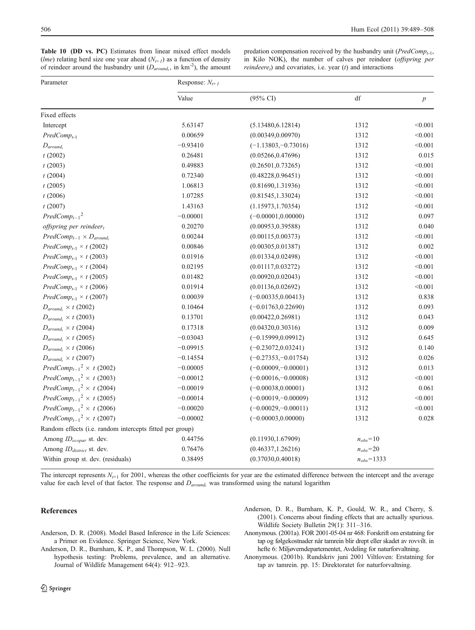<span id="page-17-0"></span>Table 10 (DD vs. PC) Estimates from linear mixed effect models (*lme*) relating herd size one year ahead ( $N_{t+1}$ ) as a function of density of reindeer around the husbandry unit ( $D_{around}$ , in km<sup>-2</sup>), the amount predation compensation received by the husbandry unit ( $PredComp_{t-1}$ , in Kilo NOK), the number of calves per reindeer (offspring per *reindeere<sub>t</sub>*) and covariates, i.e. year (*t*) and interactions

| Parameter                                                | Response: $N_{t+1}$ |                       |                  |                  |  |  |
|----------------------------------------------------------|---------------------|-----------------------|------------------|------------------|--|--|
|                                                          | Value               | $(95\% \text{ CI})$   | df               | $\boldsymbol{p}$ |  |  |
| Fixed effects                                            |                     |                       |                  |                  |  |  |
| Intercept                                                | 5.63147             | (5.13480, 6.12814)    | 1312             | < 0.001          |  |  |
| $PredComp_{t-1}$                                         | 0.00659             | (0.00349, 0.00970)    | 1312             | < 0.001          |  |  |
| $D_{around}$                                             | $-0.93410$          | $(-1.13803,-0.73016)$ | 1312             | < 0.001          |  |  |
| t(2002)                                                  | 0.26481             | (0.05266, 0.47696)    | 1312             | 0.015            |  |  |
| t(2003)                                                  | 0.49883             | (0.26501, 0.73265)    | 1312             | < 0.001          |  |  |
| t(2004)                                                  | 0.72340             | (0.48228, 0.96451)    | 1312             | < 0.001          |  |  |
| t(2005)                                                  | 1.06813             | (0.81690, 1.31936)    | 1312             | < 0.001          |  |  |
| t(2006)                                                  | 1.07285             | (0.81545, 1.33024)    | 1312             | < 0.001          |  |  |
| t(2007)                                                  | 1.43163             | (1.15973, 1.70354)    | 1312             | < 0.001          |  |  |
| $PredComp_{t-1}^2$                                       | $-0.00001$          | $(-0.00001, 0.00000)$ | 1312             | 0.097            |  |  |
| offspring per reindeer $t$                               | 0.20270             | (0.00953, 0.39588)    | 1312             | 0.040            |  |  |
| $PredComp_{t-1} \times D_{around_t}$                     | 0.00244             | (0.00115, 0.00373)    | 1312             | < 0.001          |  |  |
| $PredComp_{t-1} \times t$ (2002)                         | 0.00846             | (0.00305, 0.01387)    | 1312             | 0.002            |  |  |
| $PredComp_{t-1} \times t$ (2003)                         | 0.01916             | (0.01334, 0.02498)    | 1312             | < 0.001          |  |  |
| $PredComp_{t-1} \times t$ (2004)                         | 0.02195             | (0.01117, 0.03272)    | 1312             | < 0.001          |  |  |
| $PredComp_{t-1} \times t$ (2005)                         | 0.01482             | (0.00920, 0.02043)    | 1312             | < 0.001          |  |  |
| $PredComp_{t-1} \times t$ (2006)                         | 0.01914             | (0.01136, 0.02692)    | 1312             | < 0.001          |  |  |
| $PredComp_{t-1} \times t$ (2007)                         | 0.00039             | $(-0.00335, 0.00413)$ | 1312             | 0.838            |  |  |
| $D_{around_t} \times t$ (2002)                           | 0.10464             | $(-0.01763, 0.22690)$ | 1312             | 0.093            |  |  |
| $D_{around_t} \times t$ (2003)                           | 0.13701             | (0.00422, 0.26981)    | 1312             | 0.043            |  |  |
| $D_{around_t} \times t$ (2004)                           | 0.17318             | (0.04320, 0.30316)    | 1312             | 0.009            |  |  |
| $D_{around_t} \times t$ (2005)                           | $-0.03043$          | $(-0.15999, 0.09912)$ | 1312             | 0.645            |  |  |
| $D_{around_t} \times t$ (2006)                           | $-0.09915$          | $(-0.23072, 0.03241)$ | 1312             | 0.140            |  |  |
| $D_{around_t} \times t$ (2007)                           | $-0.14554$          | $(-0.27353,-0.01754)$ | 1312             | 0.026            |  |  |
| $PredComp_{t-1}^2 \times t$ (2002)                       | $-0.00005$          | $(-0.00009,-0.00001)$ | 1312             | 0.013            |  |  |
| $PredComp_{t-1}^2 \times t$ (2003)                       | $-0.00012$          | $(-0.00016,-0.00008)$ | 1312             | < 0.001          |  |  |
| $PredComp_{t-1}^2 \times t$ (2004)                       | $-0.00019$          | $(-0.00038, 0.00001)$ | 1312             | 0.061            |  |  |
| $PredComp_{t-1}^2 \times t$ (2005)                       | $-0.00014$          | $(-0.00019,-0.00009)$ | 1312             | < 0.001          |  |  |
| $PredComp_{t-1}^2 \times t$ (2006)                       | $-0.00020$          | $(-0.00029,-0.00011)$ | 1312             | < 0.001          |  |  |
| $PredComp_{t-1}^2 \times t$ (2007)                       | $-0.00002$          | $(-0.00003, 0.00000)$ | 1312             | 0.028            |  |  |
| Random effects (i.e. random intercepts fitted per group) |                     |                       |                  |                  |  |  |
| Among ID <sub>ecopar</sub> st. dev.                      | 0.44756             | (0.11930, 1.67909)    | $n_{obs} = 10$   |                  |  |  |
| Among <i>ID<sub>district</sub></i> st. dev.              | 0.76476             | (0.46337, 1.26216)    | $n_{obs} = 20$   |                  |  |  |
| Within group st. dev. (residuals)                        | 0.38495             | (0.37030, 0.40018)    | $n_{obs} = 1333$ |                  |  |  |

The intercept represents  $N_{t+1}$  for 2001, whereas the other coefficients for year are the estimated difference between the intercept and the average value for each level of that factor. The response and  $D_{around}$  was transformed using the natural logarithm

# References

- Anderson, D. R. (2008). Model Based Inference in the Life Sciences: a Primer on Evidence. Springer Science, New York.
- Anderson, D. R., Burnham, K. P., and Thompson, W. L. (2000). Null hypothesis testing: Problems, prevalence, and an alternative. Journal of Wildlife Management 64(4): 912–923.
- Anderson, D. R., Burnham, K. P., Gould, W. R., and Cherry, S. (2001). Concerns about finding effects that are actually spurious. Wildlife Society Bulletin 29(1): 311–316.
- Anonymous. (2001a). FOR 2001-05-04 nr 468: Forskrift om erstatning for tap og følgekostnader når tamrein blir drept eller skadet av rovvilt. in hefte 6: Miljøverndepartementet, Avdeling for naturforvaltning.
- Anonymous. (2001b). Rundskriv juni 2001 Viltloven: Erstatning for tap av tamrein. pp. 15: Direktoratet for naturforvaltning.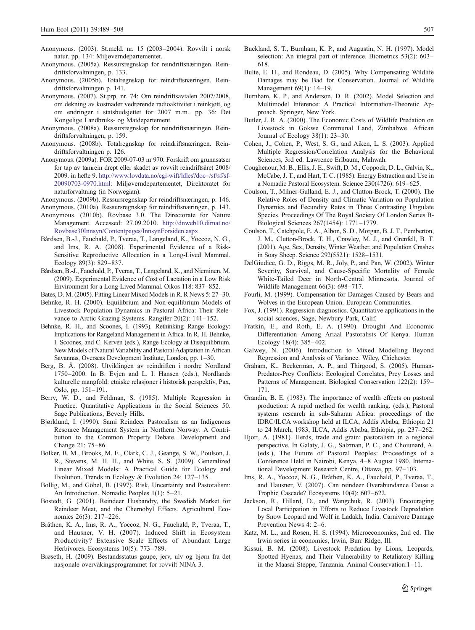- <span id="page-18-0"></span>Anonymous. (2003). St.meld. nr. 15 (2003–2004): Rovvilt i norsk natur. pp. 134: Miljøverndepartementet.
- Anonymous. (2005a). Ressursregnskap for reindriftsnæringen. Reindriftsforvaltningen, p. 133.
- Anonymous. (2005b). Totalregnskap for reindriftsnæringen. Reindriftsforvaltningen p. 141.
- Anonymous. (2007). St.prp. nr. 74: Om reindriftsavtalen 2007/2008, om dekning av kostnader vedrørende radioaktivitet i reinkjøtt, og om endringer i statsbudsjettet for 2007 m.m.. pp. 36: Det Kongelige Landbruks- og Matdepartement.
- Anonymous. (2008a). Ressursregnskap for reindriftsnæringen. Reindriftsforvaltningen, p. 159.
- Anonymous. (2008b). Totalregnskap for reindriftsnæringen. Reindriftsforvaltningen p. 126.
- Anonymous. (2009a). FOR 2009-07-03 nr 970: Forskrift om grunnsatser for tap av tamrein drept eller skadet av rovvilt reindriftsåret 2008/ 2009. in hefte 9. [http://www.lovdata.no/cgi-wift/ldles?doc=/sf/sf/sf-](http://www.lovdata.no/cgi-wift/ldles?doc=/sf/sf/sf-20090703-0970.html)[20090703-0970.html:](http://www.lovdata.no/cgi-wift/ldles?doc=/sf/sf/sf-20090703-0970.html) Miljøverndepartementet, Direktoratet for naturforvaltning (in Norwegian).
- Anonymous. (2009b). Ressursregnskap for reindriftsnæringen, p. 146.
- Anonymous. (2010a). Ressursregnskap for reindriftsnæringen, p. 143.
- Anonymous. (2010b). Rovbase 3.0. The Directorate for Nature Management. Accessed: 27.09.2010. [http://dnweb10.dirnat.no/](http://dnweb10.dirnat.no/Rovbase30Innsyn/Contentpages/InnsynForsiden.aspx) [Rovbase30Innsyn/Contentpages/InnsynForsiden.aspx.](http://dnweb10.dirnat.no/Rovbase30Innsyn/Contentpages/InnsynForsiden.aspx)
- Bårdsen, B.-J., Fauchald, P., Tveraa, T., Langeland, K., Yoccoz, N. G., and Ims, R. A. (2008). Experimental Evidence of a Risk-Sensitive Reproductive Allocation in a Long-Lived Mammal. Ecology 89(3): 829–837.
- Bårdsen, B.-J., Fauchald, P., Tveraa, T., Langeland, K., and Nieminen, M. (2009). Experimental Evidence of Cost of Lactation in a Low Risk Environment for a Long-Lived Mammal. Oikos 118: 837–852.
- Bates, D. M. (2005). Fitting Linear Mixed Models in R. R News 5: 27–30.
- Behnke, R. H. (2000). Equilibrium and Non-equilibrium Models of Livestock Population Dynamics in Pastoral Africa: Their Relevance to Arctic Grazing Systems. Rangifer 20(2): 141–152.
- Behnke, R. H., and Scoones, I. (1993). Rethinking Range Ecology: Implications for Rangeland Management in Africa. In R. H. Behnke, I. Scoones, and C. Kerven (eds.), Range Ecology at Disequilibrium. New Models of Natural Variability and Pastoral Adaptation in African Savannas, Overseas Development Institute, London, pp. 1–30.
- Berg, B. Å. (2008). Utviklingen av reindriften i nordre Nordland 1750–2000. In B. Evjen and L. I. Hansen (eds.), Nordlands kulturelle mangfold: etniske relasjoner i historisk perspektiv, Pax, Oslo, pp. 151–191.
- Berry, W. D., and Feldman, S. (1985). Multiple Regression in Practice. Quantitative Applications in the Social Sciences 50. Sage Publications, Beverly Hills.
- Bjørklund, I. (1990). Sami Reindeer Pastoralism as an Indigenous Resource Management System in Northern Norway: A Contribution to the Common Property Debate. Development and Change 21: 75–86.
- Bolker, B. M., Brooks, M. E., Clark, C. J., Geange, S. W., Poulson, J. R., Stevens, M. H. H., and White, S. S. (2009). Generalized Linear Mixed Models: A Practical Guide for Ecology and Evolution. Trends in Ecology & Evolution 24: 127–135.
- Bollig, M., and Göbel, B. (1997). Risk, Uncertainty and Pastoralism: An Introduction. Nomadic Peoples 1(1): 5–21.
- Bostedt, G. (2001). Reindeer Husbandry, the Swedish Market for Reindeer Meat, and the Chernobyl Effects. Agricultural Economics 26(3): 217–226.
- Bråthen, K. A., Ims, R. A., Yoccoz, N. G., Fauchald, P., Tveraa, T., and Hausner, V. H. (2007). Induced Shift in Ecosystem Productivity? Extensive Scale Effects of Abundant Large Herbivores. Ecosystems 10(5): 773-789.
- Brøseth, H. (2009). Bestandsstatus gaupe, jerv, ulv og bjørn fra det nasjonale overvåkingsprogrammet for rovvilt NINA 3.
- Buckland, S. T., Burnham, K. P., and Augustin, N. H. (1997). Model selection: An integral part of inference. Biometrics 53(2): 603– 618.
- Bulte, E. H., and Rondeau, D. (2005). Why Compensating Wildlife Damages may be Bad for Conservation. Journal of Wildlife Management 69(1): 14–19.
- Burnham, K. P., and Anderson, D. R. (2002). Model Selection and Multimodel Inference: A Practical Information-Theoretic Approach. Springer, New York.
- Butler, J. R. A. (2000). The Economic Costs of Wildlife Predation on Livestock in Gokwe Communal Land, Zimbabwe. African Journal of Ecology 38(1): 23–30.
- Cohen, J., Cohen, P., West, S. G., and Aiken, L. S. (2003). Applied Multiple Regression/Correlation Analysis for the Behavioral Sciences, 3rd ed. Lawrence Erlbaum, Mahwah.
- Coughenour, M. B., Ellis, J. E., Swift, D. M., Coppock, D. L., Galvin, K., McCabe, J. T., and Hart, T. C. (1985). Energy Extraction and Use in a Nomadic Pastoral Ecosystem. Science 230(4726): 619–625.
- Coulson, T., Milner-Gulland, E. J., and Clutton-Brock, T. (2000). The Relative Roles of Density and Climatic Variation on Population Dynamics and Fecundity Rates in Three Contrasting Ungulate Species. Proceedings Of The Royal Society Of London Series B-Biological Sciences 267(1454): 1771–1779.
- Coulson, T., Catchpole, E. A., Albon, S. D., Morgan, B. J. T., Pemberton, J. M., Clutton-Brock, T. H., Crawley, M. J., and Grenfell, B. T. (2001). Age, Sex, Density, Winter Weather, and Population Crashes in Soay Sheep. Science 292(5521): 1528–1531.
- DelGiudice, G. D., Riggs, M. R., Joly, P., and Pan, W. (2002). Winter Severity, Survival, and Cause-Specific Mortality of Female White-Tailed Deer in North-Central Minnesota. Journal of Wildlife Management 66(3): 698–717.
- Fourli, M. (1999). Compensation for Damages Caused by Bears and Wolves in the European Union. European Communities.
- Fox, J. (1991). Regression diagnostics. Quantitative applications in the social sciences, Sage, Newbury Park, Calif.
- Fratkin, E., and Roth, E. A. (1990). Drought And Economic Differentiation Among Ariaal Pastoralists Of Kenya. Human Ecology 18(4): 385–402.
- Galwey, N. (2006). Introduction to Mixed Modelling Beyond Regression and Analysis of Variance. Wiley, Chichester.
- Graham, K., Beckerman, A. P., and Thirgood, S. (2005). Human-Predator-Prey Conflicts: Ecological Correlates, Prey Losses and Patterns of Management. Biological Conservation 122(2): 159– 171.
- Grandin, B. E. (1983). The importance of wealth effects on pastoral production: A rapid method for wealth ranking. (eds.), Pastoral systems research in sub‐Saharan Africa: proceedings of the IDRC/ILCA workshop held at ILCA, Addis Ababa, Ethiopia 21 to 24 March, 1983, ILCA, Addis Ababa, Ethiopia, pp. 237–262.
- Hjort, A. (1981). Herds, trade and grain: pastoralism in a regional perspective. In Galaty, J. G., Salzman, P. C., and Choiunard, A. (eds.), The Future of Pastoral Peoples: Proceedings of a Conference Held in Nairobi, Kenya, 4–8 August 1980. International Development Research Centre, Ottawa, pp. 97–103.
- Ims, R. A., Yoccoz, N. G., Bråthen, K. A., Fauchald, P., Tveraa, T., and Hausner, V. (2007). Can reindeer Overabundance Cause a Trophic Cascade? Ecosystems 10(4): 607–622.
- Jackson, R., Hillard, D., and Wangchuk, R. (2003). Encouraging Local Participation in Efforts to Reduce Livestock Depredation by Snow Leopard and Wolf in Ladakh, India. Carnivore Damage Prevention News 4: 2–6.
- Katz, M. L., and Rosen, H. S. (1994). Microeconomics, 2nd ed. The Irwin series in economics, Irwin, Burr Ridge, Ill.
- Kissui, B. M. (2008). Livestock Predation by Lions, Leopards, Spotted Hyenas, and Their Vulnerability to Retaliatory Killing in the Maasai Steppe, Tanzania. Animal Conservation:1–11.